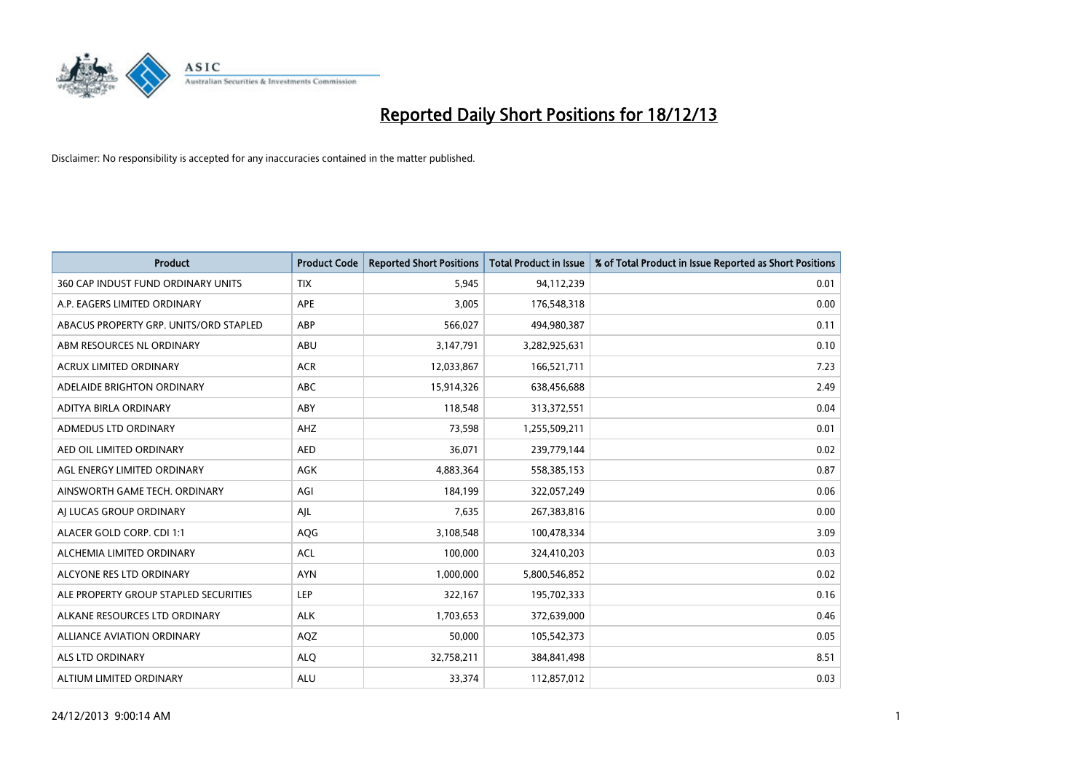

| <b>Product</b>                         | <b>Product Code</b> | <b>Reported Short Positions</b> | <b>Total Product in Issue</b> | % of Total Product in Issue Reported as Short Positions |
|----------------------------------------|---------------------|---------------------------------|-------------------------------|---------------------------------------------------------|
| 360 CAP INDUST FUND ORDINARY UNITS     | <b>TIX</b>          | 5,945                           | 94,112,239                    | 0.01                                                    |
| A.P. EAGERS LIMITED ORDINARY           | APE                 | 3,005                           | 176,548,318                   | 0.00                                                    |
| ABACUS PROPERTY GRP. UNITS/ORD STAPLED | ABP                 | 566,027                         | 494,980,387                   | 0.11                                                    |
| ABM RESOURCES NL ORDINARY              | ABU                 | 3,147,791                       | 3,282,925,631                 | 0.10                                                    |
| <b>ACRUX LIMITED ORDINARY</b>          | <b>ACR</b>          | 12,033,867                      | 166,521,711                   | 7.23                                                    |
| ADELAIDE BRIGHTON ORDINARY             | <b>ABC</b>          | 15,914,326                      | 638,456,688                   | 2.49                                                    |
| ADITYA BIRLA ORDINARY                  | ABY                 | 118,548                         | 313,372,551                   | 0.04                                                    |
| ADMEDUS LTD ORDINARY                   | AHZ                 | 73,598                          | 1,255,509,211                 | 0.01                                                    |
| AED OIL LIMITED ORDINARY               | <b>AED</b>          | 36,071                          | 239,779,144                   | 0.02                                                    |
| AGL ENERGY LIMITED ORDINARY            | <b>AGK</b>          | 4,883,364                       | 558,385,153                   | 0.87                                                    |
| AINSWORTH GAME TECH. ORDINARY          | AGI                 | 184,199                         | 322,057,249                   | 0.06                                                    |
| AI LUCAS GROUP ORDINARY                | AJL                 | 7,635                           | 267,383,816                   | 0.00                                                    |
| ALACER GOLD CORP. CDI 1:1              | AQG                 | 3,108,548                       | 100,478,334                   | 3.09                                                    |
| ALCHEMIA LIMITED ORDINARY              | <b>ACL</b>          | 100,000                         | 324,410,203                   | 0.03                                                    |
| ALCYONE RES LTD ORDINARY               | <b>AYN</b>          | 1,000,000                       | 5,800,546,852                 | 0.02                                                    |
| ALE PROPERTY GROUP STAPLED SECURITIES  | LEP                 | 322,167                         | 195,702,333                   | 0.16                                                    |
| ALKANE RESOURCES LTD ORDINARY          | <b>ALK</b>          | 1,703,653                       | 372,639,000                   | 0.46                                                    |
| <b>ALLIANCE AVIATION ORDINARY</b>      | AQZ                 | 50,000                          | 105,542,373                   | 0.05                                                    |
| ALS LTD ORDINARY                       | <b>ALO</b>          | 32,758,211                      | 384, 841, 498                 | 8.51                                                    |
| ALTIUM LIMITED ORDINARY                | <b>ALU</b>          | 33,374                          | 112,857,012                   | 0.03                                                    |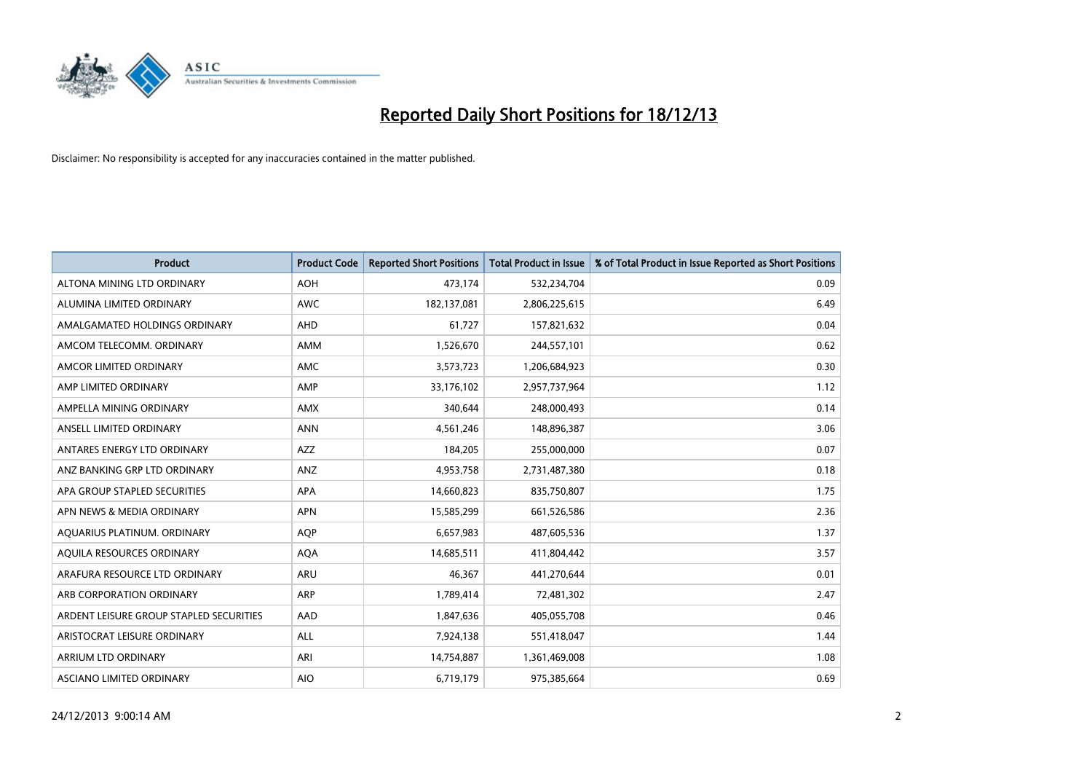

| <b>Product</b>                          | <b>Product Code</b> | <b>Reported Short Positions</b> | <b>Total Product in Issue</b> | % of Total Product in Issue Reported as Short Positions |
|-----------------------------------------|---------------------|---------------------------------|-------------------------------|---------------------------------------------------------|
| ALTONA MINING LTD ORDINARY              | <b>AOH</b>          | 473,174                         | 532,234,704                   | 0.09                                                    |
| ALUMINA LIMITED ORDINARY                | <b>AWC</b>          | 182,137,081                     | 2,806,225,615                 | 6.49                                                    |
| AMALGAMATED HOLDINGS ORDINARY           | AHD                 | 61,727                          | 157,821,632                   | 0.04                                                    |
| AMCOM TELECOMM, ORDINARY                | AMM                 | 1,526,670                       | 244,557,101                   | 0.62                                                    |
| AMCOR LIMITED ORDINARY                  | AMC                 | 3,573,723                       | 1,206,684,923                 | 0.30                                                    |
| AMP LIMITED ORDINARY                    | AMP                 | 33,176,102                      | 2,957,737,964                 | 1.12                                                    |
| AMPELLA MINING ORDINARY                 | AMX                 | 340,644                         | 248,000,493                   | 0.14                                                    |
| ANSELL LIMITED ORDINARY                 | <b>ANN</b>          | 4,561,246                       | 148,896,387                   | 3.06                                                    |
| ANTARES ENERGY LTD ORDINARY             | <b>AZZ</b>          | 184,205                         | 255,000,000                   | 0.07                                                    |
| ANZ BANKING GRP LTD ORDINARY            | ANZ                 | 4,953,758                       | 2,731,487,380                 | 0.18                                                    |
| APA GROUP STAPLED SECURITIES            | APA                 | 14,660,823                      | 835,750,807                   | 1.75                                                    |
| APN NEWS & MEDIA ORDINARY               | <b>APN</b>          | 15,585,299                      | 661,526,586                   | 2.36                                                    |
| AQUARIUS PLATINUM. ORDINARY             | <b>AOP</b>          | 6,657,983                       | 487,605,536                   | 1.37                                                    |
| AQUILA RESOURCES ORDINARY               | <b>AQA</b>          | 14,685,511                      | 411,804,442                   | 3.57                                                    |
| ARAFURA RESOURCE LTD ORDINARY           | <b>ARU</b>          | 46,367                          | 441,270,644                   | 0.01                                                    |
| ARB CORPORATION ORDINARY                | ARP                 | 1,789,414                       | 72,481,302                    | 2.47                                                    |
| ARDENT LEISURE GROUP STAPLED SECURITIES | AAD                 | 1,847,636                       | 405,055,708                   | 0.46                                                    |
| ARISTOCRAT LEISURE ORDINARY             | <b>ALL</b>          | 7,924,138                       | 551,418,047                   | 1.44                                                    |
| <b>ARRIUM LTD ORDINARY</b>              | ARI                 | 14,754,887                      | 1,361,469,008                 | 1.08                                                    |
| <b>ASCIANO LIMITED ORDINARY</b>         | <b>AIO</b>          | 6,719,179                       | 975,385,664                   | 0.69                                                    |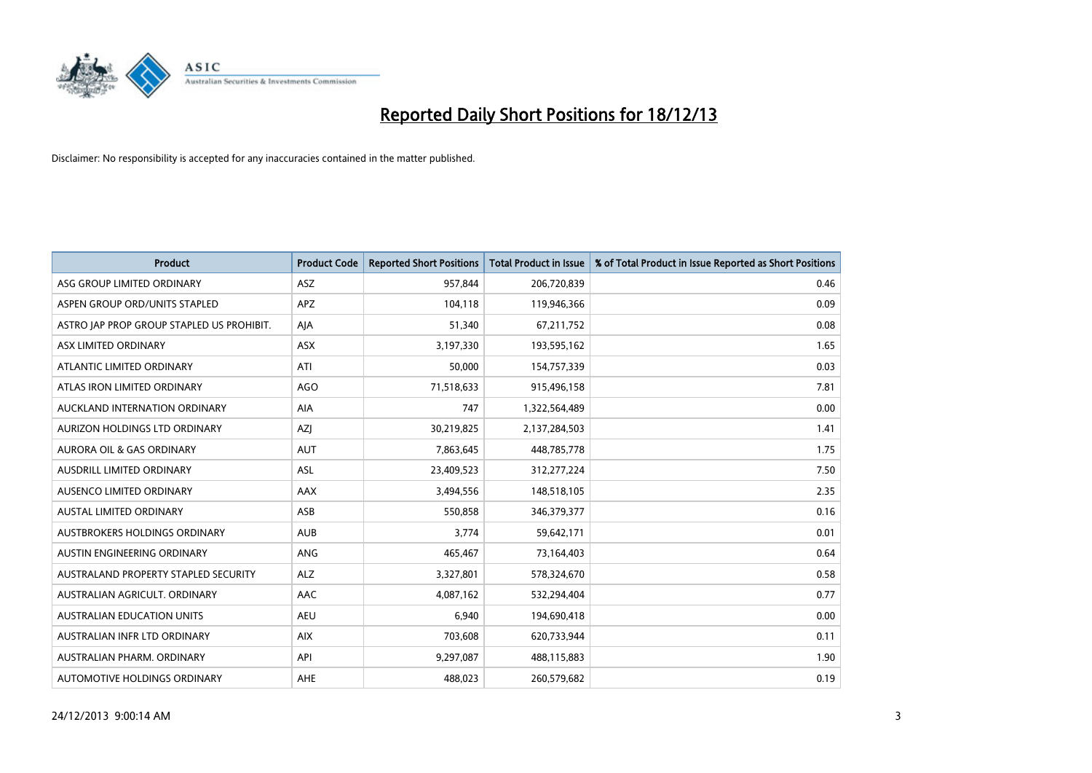

| <b>Product</b>                            | <b>Product Code</b> | <b>Reported Short Positions</b> | <b>Total Product in Issue</b> | % of Total Product in Issue Reported as Short Positions |
|-------------------------------------------|---------------------|---------------------------------|-------------------------------|---------------------------------------------------------|
| ASG GROUP LIMITED ORDINARY                | <b>ASZ</b>          | 957,844                         | 206,720,839                   | 0.46                                                    |
| ASPEN GROUP ORD/UNITS STAPLED             | APZ                 | 104,118                         | 119,946,366                   | 0.09                                                    |
| ASTRO JAP PROP GROUP STAPLED US PROHIBIT. | AJA                 | 51,340                          | 67,211,752                    | 0.08                                                    |
| ASX LIMITED ORDINARY                      | ASX                 | 3,197,330                       | 193,595,162                   | 1.65                                                    |
| ATLANTIC LIMITED ORDINARY                 | ATI                 | 50,000                          | 154,757,339                   | 0.03                                                    |
| ATLAS IRON LIMITED ORDINARY               | <b>AGO</b>          | 71,518,633                      | 915,496,158                   | 7.81                                                    |
| AUCKLAND INTERNATION ORDINARY             | AIA                 | 747                             | 1,322,564,489                 | 0.00                                                    |
| AURIZON HOLDINGS LTD ORDINARY             | AZJ                 | 30,219,825                      | 2,137,284,503                 | 1.41                                                    |
| <b>AURORA OIL &amp; GAS ORDINARY</b>      | <b>AUT</b>          | 7,863,645                       | 448,785,778                   | 1.75                                                    |
| AUSDRILL LIMITED ORDINARY                 | <b>ASL</b>          | 23,409,523                      | 312,277,224                   | 7.50                                                    |
| AUSENCO LIMITED ORDINARY                  | AAX                 | 3,494,556                       | 148,518,105                   | 2.35                                                    |
| <b>AUSTAL LIMITED ORDINARY</b>            | ASB                 | 550,858                         | 346,379,377                   | 0.16                                                    |
| AUSTBROKERS HOLDINGS ORDINARY             | <b>AUB</b>          | 3,774                           | 59,642,171                    | 0.01                                                    |
| AUSTIN ENGINEERING ORDINARY               | ANG                 | 465,467                         | 73,164,403                    | 0.64                                                    |
| AUSTRALAND PROPERTY STAPLED SECURITY      | <b>ALZ</b>          | 3,327,801                       | 578,324,670                   | 0.58                                                    |
| AUSTRALIAN AGRICULT. ORDINARY             | AAC                 | 4,087,162                       | 532,294,404                   | 0.77                                                    |
| <b>AUSTRALIAN EDUCATION UNITS</b>         | <b>AEU</b>          | 6,940                           | 194,690,418                   | 0.00                                                    |
| AUSTRALIAN INFR LTD ORDINARY              | <b>AIX</b>          | 703,608                         | 620,733,944                   | 0.11                                                    |
| AUSTRALIAN PHARM, ORDINARY                | API                 | 9,297,087                       | 488,115,883                   | 1.90                                                    |
| AUTOMOTIVE HOLDINGS ORDINARY              | <b>AHE</b>          | 488,023                         | 260,579,682                   | 0.19                                                    |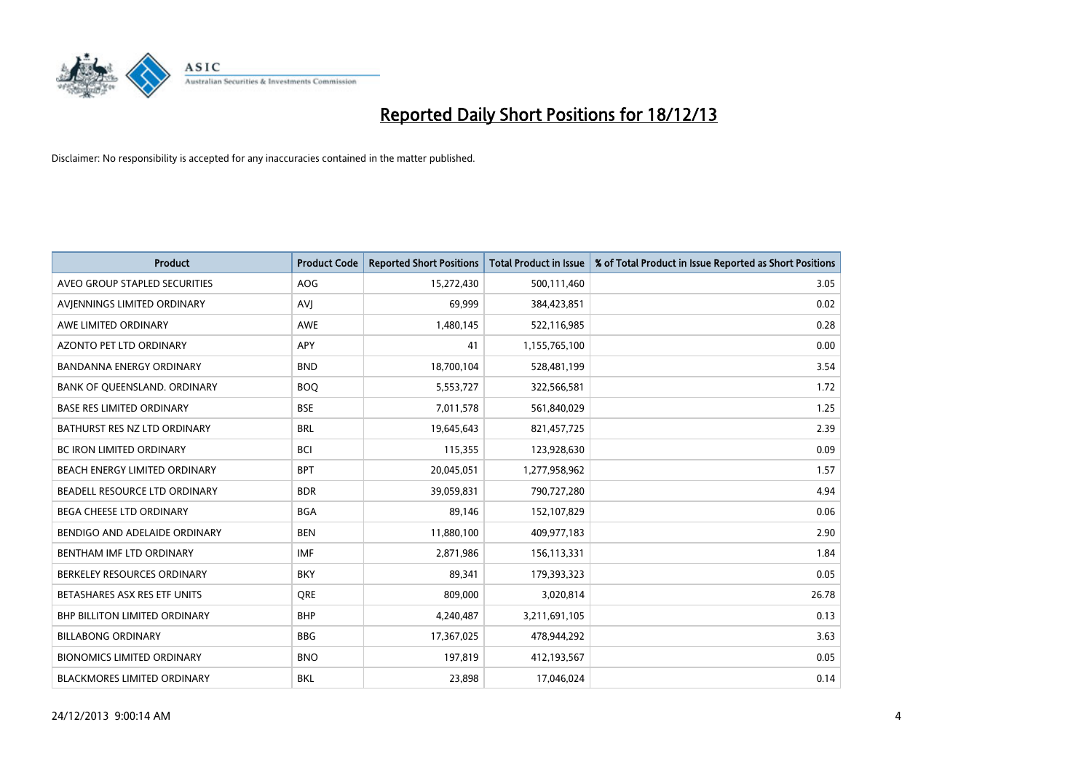

| <b>Product</b>                    | <b>Product Code</b> | <b>Reported Short Positions</b> | <b>Total Product in Issue</b> | % of Total Product in Issue Reported as Short Positions |
|-----------------------------------|---------------------|---------------------------------|-------------------------------|---------------------------------------------------------|
| AVEO GROUP STAPLED SECURITIES     | <b>AOG</b>          | 15,272,430                      | 500,111,460                   | 3.05                                                    |
| AVIENNINGS LIMITED ORDINARY       | <b>AVI</b>          | 69,999                          | 384,423,851                   | 0.02                                                    |
| AWE LIMITED ORDINARY              | <b>AWE</b>          | 1,480,145                       | 522,116,985                   | 0.28                                                    |
| AZONTO PET LTD ORDINARY           | APY                 | 41                              | 1,155,765,100                 | 0.00                                                    |
| <b>BANDANNA ENERGY ORDINARY</b>   | <b>BND</b>          | 18,700,104                      | 528,481,199                   | 3.54                                                    |
| BANK OF QUEENSLAND. ORDINARY      | <b>BOO</b>          | 5,553,727                       | 322,566,581                   | 1.72                                                    |
| <b>BASE RES LIMITED ORDINARY</b>  | <b>BSE</b>          | 7,011,578                       | 561,840,029                   | 1.25                                                    |
| BATHURST RES NZ LTD ORDINARY      | <b>BRL</b>          | 19,645,643                      | 821,457,725                   | 2.39                                                    |
| BC IRON LIMITED ORDINARY          | <b>BCI</b>          | 115,355                         | 123,928,630                   | 0.09                                                    |
| BEACH ENERGY LIMITED ORDINARY     | <b>BPT</b>          | 20,045,051                      | 1,277,958,962                 | 1.57                                                    |
| BEADELL RESOURCE LTD ORDINARY     | <b>BDR</b>          | 39,059,831                      | 790,727,280                   | 4.94                                                    |
| BEGA CHEESE LTD ORDINARY          | <b>BGA</b>          | 89,146                          | 152,107,829                   | 0.06                                                    |
| BENDIGO AND ADELAIDE ORDINARY     | <b>BEN</b>          | 11,880,100                      | 409,977,183                   | 2.90                                                    |
| BENTHAM IMF LTD ORDINARY          | <b>IMF</b>          | 2,871,986                       | 156,113,331                   | 1.84                                                    |
| BERKELEY RESOURCES ORDINARY       | <b>BKY</b>          | 89,341                          | 179,393,323                   | 0.05                                                    |
| BETASHARES ASX RES ETF UNITS      | <b>ORE</b>          | 809,000                         | 3,020,814                     | 26.78                                                   |
| BHP BILLITON LIMITED ORDINARY     | <b>BHP</b>          | 4,240,487                       | 3,211,691,105                 | 0.13                                                    |
| <b>BILLABONG ORDINARY</b>         | <b>BBG</b>          | 17,367,025                      | 478,944,292                   | 3.63                                                    |
| <b>BIONOMICS LIMITED ORDINARY</b> | <b>BNO</b>          | 197,819                         | 412,193,567                   | 0.05                                                    |
| BLACKMORES LIMITED ORDINARY       | <b>BKL</b>          | 23,898                          | 17,046,024                    | 0.14                                                    |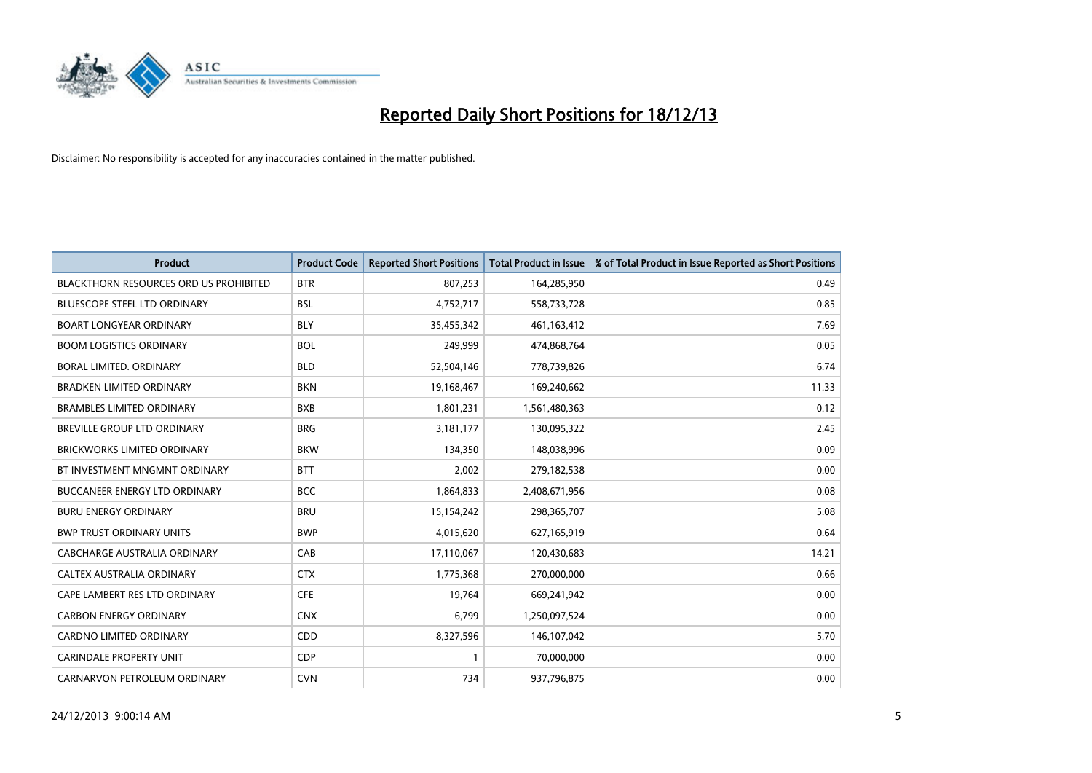

| <b>Product</b>                                | <b>Product Code</b> | <b>Reported Short Positions</b> | <b>Total Product in Issue</b> | % of Total Product in Issue Reported as Short Positions |
|-----------------------------------------------|---------------------|---------------------------------|-------------------------------|---------------------------------------------------------|
| <b>BLACKTHORN RESOURCES ORD US PROHIBITED</b> | <b>BTR</b>          | 807,253                         | 164,285,950                   | 0.49                                                    |
| <b>BLUESCOPE STEEL LTD ORDINARY</b>           | <b>BSL</b>          | 4,752,717                       | 558,733,728                   | 0.85                                                    |
| <b>BOART LONGYEAR ORDINARY</b>                | <b>BLY</b>          | 35,455,342                      | 461,163,412                   | 7.69                                                    |
| <b>BOOM LOGISTICS ORDINARY</b>                | <b>BOL</b>          | 249,999                         | 474,868,764                   | 0.05                                                    |
| <b>BORAL LIMITED, ORDINARY</b>                | <b>BLD</b>          | 52,504,146                      | 778,739,826                   | 6.74                                                    |
| <b>BRADKEN LIMITED ORDINARY</b>               | <b>BKN</b>          | 19,168,467                      | 169,240,662                   | 11.33                                                   |
| <b>BRAMBLES LIMITED ORDINARY</b>              | <b>BXB</b>          | 1,801,231                       | 1,561,480,363                 | 0.12                                                    |
| BREVILLE GROUP LTD ORDINARY                   | <b>BRG</b>          | 3,181,177                       | 130,095,322                   | 2.45                                                    |
| <b>BRICKWORKS LIMITED ORDINARY</b>            | <b>BKW</b>          | 134,350                         | 148,038,996                   | 0.09                                                    |
| BT INVESTMENT MNGMNT ORDINARY                 | <b>BTT</b>          | 2,002                           | 279,182,538                   | 0.00                                                    |
| <b>BUCCANEER ENERGY LTD ORDINARY</b>          | <b>BCC</b>          | 1,864,833                       | 2,408,671,956                 | 0.08                                                    |
| <b>BURU ENERGY ORDINARY</b>                   | <b>BRU</b>          | 15,154,242                      | 298,365,707                   | 5.08                                                    |
| <b>BWP TRUST ORDINARY UNITS</b>               | <b>BWP</b>          | 4,015,620                       | 627,165,919                   | 0.64                                                    |
| <b>CABCHARGE AUSTRALIA ORDINARY</b>           | CAB                 | 17,110,067                      | 120,430,683                   | 14.21                                                   |
| CALTEX AUSTRALIA ORDINARY                     | <b>CTX</b>          | 1,775,368                       | 270,000,000                   | 0.66                                                    |
| CAPE LAMBERT RES LTD ORDINARY                 | <b>CFE</b>          | 19,764                          | 669,241,942                   | 0.00                                                    |
| <b>CARBON ENERGY ORDINARY</b>                 | <b>CNX</b>          | 6,799                           | 1,250,097,524                 | 0.00                                                    |
| CARDNO LIMITED ORDINARY                       | CDD                 | 8,327,596                       | 146,107,042                   | 5.70                                                    |
| <b>CARINDALE PROPERTY UNIT</b>                | <b>CDP</b>          | $\mathbf{1}$                    | 70,000,000                    | 0.00                                                    |
| CARNARVON PETROLEUM ORDINARY                  | <b>CVN</b>          | 734                             | 937,796,875                   | 0.00                                                    |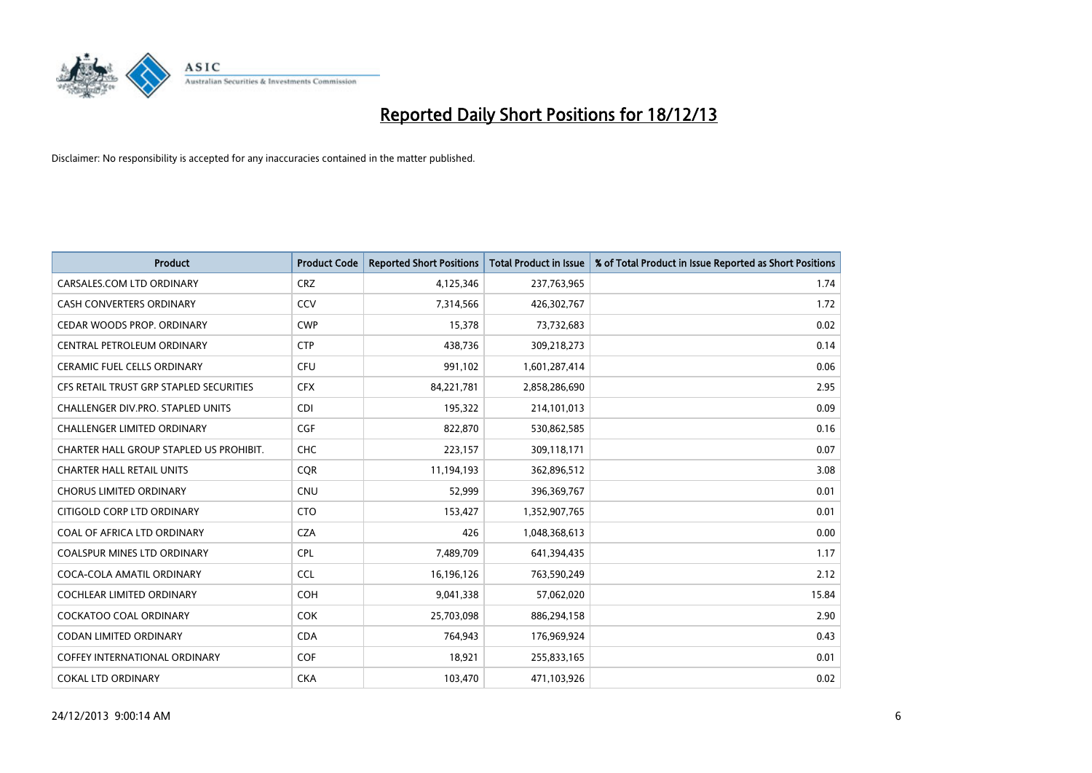

| <b>Product</b>                           | <b>Product Code</b> | <b>Reported Short Positions</b> | <b>Total Product in Issue</b> | % of Total Product in Issue Reported as Short Positions |
|------------------------------------------|---------------------|---------------------------------|-------------------------------|---------------------------------------------------------|
| CARSALES.COM LTD ORDINARY                | <b>CRZ</b>          | 4,125,346                       | 237,763,965                   | 1.74                                                    |
| <b>CASH CONVERTERS ORDINARY</b>          | CCV                 | 7,314,566                       | 426,302,767                   | 1.72                                                    |
| CEDAR WOODS PROP. ORDINARY               | <b>CWP</b>          | 15,378                          | 73,732,683                    | 0.02                                                    |
| CENTRAL PETROLEUM ORDINARY               | <b>CTP</b>          | 438,736                         | 309,218,273                   | 0.14                                                    |
| <b>CERAMIC FUEL CELLS ORDINARY</b>       | <b>CFU</b>          | 991,102                         | 1,601,287,414                 | 0.06                                                    |
| CFS RETAIL TRUST GRP STAPLED SECURITIES  | <b>CFX</b>          | 84,221,781                      | 2,858,286,690                 | 2.95                                                    |
| <b>CHALLENGER DIV.PRO. STAPLED UNITS</b> | <b>CDI</b>          | 195,322                         | 214,101,013                   | 0.09                                                    |
| CHALLENGER LIMITED ORDINARY              | <b>CGF</b>          | 822,870                         | 530,862,585                   | 0.16                                                    |
| CHARTER HALL GROUP STAPLED US PROHIBIT.  | <b>CHC</b>          | 223,157                         | 309,118,171                   | 0.07                                                    |
| <b>CHARTER HALL RETAIL UNITS</b>         | <b>COR</b>          | 11,194,193                      | 362,896,512                   | 3.08                                                    |
| <b>CHORUS LIMITED ORDINARY</b>           | <b>CNU</b>          | 52,999                          | 396,369,767                   | 0.01                                                    |
| CITIGOLD CORP LTD ORDINARY               | <b>CTO</b>          | 153,427                         | 1,352,907,765                 | 0.01                                                    |
| COAL OF AFRICA LTD ORDINARY              | <b>CZA</b>          | 426                             | 1,048,368,613                 | 0.00                                                    |
| <b>COALSPUR MINES LTD ORDINARY</b>       | <b>CPL</b>          | 7,489,709                       | 641,394,435                   | 1.17                                                    |
| COCA-COLA AMATIL ORDINARY                | <b>CCL</b>          | 16,196,126                      | 763,590,249                   | 2.12                                                    |
| COCHLEAR LIMITED ORDINARY                | <b>COH</b>          | 9,041,338                       | 57,062,020                    | 15.84                                                   |
| COCKATOO COAL ORDINARY                   | <b>COK</b>          | 25,703,098                      | 886,294,158                   | 2.90                                                    |
| <b>CODAN LIMITED ORDINARY</b>            | <b>CDA</b>          | 764,943                         | 176,969,924                   | 0.43                                                    |
| <b>COFFEY INTERNATIONAL ORDINARY</b>     | <b>COF</b>          | 18,921                          | 255,833,165                   | 0.01                                                    |
| <b>COKAL LTD ORDINARY</b>                | <b>CKA</b>          | 103,470                         | 471,103,926                   | 0.02                                                    |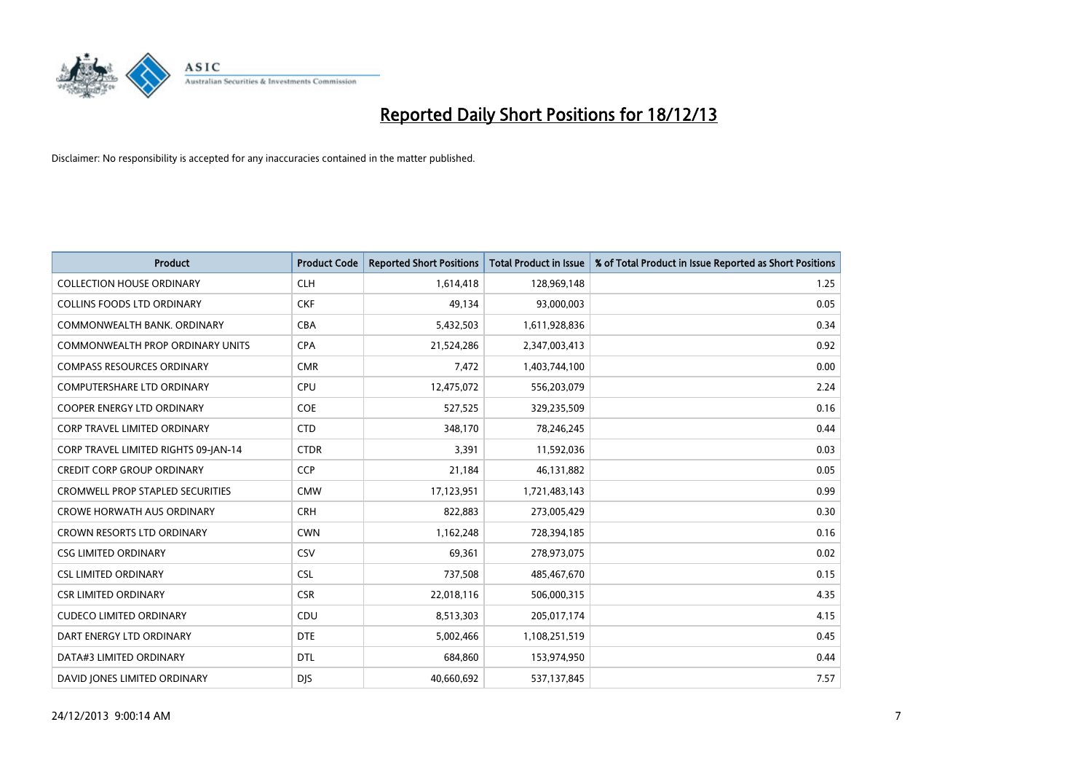

| <b>Product</b>                          | <b>Product Code</b> | <b>Reported Short Positions</b> | <b>Total Product in Issue</b> | % of Total Product in Issue Reported as Short Positions |
|-----------------------------------------|---------------------|---------------------------------|-------------------------------|---------------------------------------------------------|
| <b>COLLECTION HOUSE ORDINARY</b>        | <b>CLH</b>          | 1,614,418                       | 128,969,148                   | 1.25                                                    |
| COLLINS FOODS LTD ORDINARY              | <b>CKF</b>          | 49,134                          | 93,000,003                    | 0.05                                                    |
| COMMONWEALTH BANK, ORDINARY             | <b>CBA</b>          | 5,432,503                       | 1,611,928,836                 | 0.34                                                    |
| COMMONWEALTH PROP ORDINARY UNITS        | <b>CPA</b>          | 21,524,286                      | 2,347,003,413                 | 0.92                                                    |
| <b>COMPASS RESOURCES ORDINARY</b>       | <b>CMR</b>          | 7,472                           | 1,403,744,100                 | 0.00                                                    |
| <b>COMPUTERSHARE LTD ORDINARY</b>       | <b>CPU</b>          | 12,475,072                      | 556,203,079                   | 2.24                                                    |
| <b>COOPER ENERGY LTD ORDINARY</b>       | <b>COE</b>          | 527,525                         | 329,235,509                   | 0.16                                                    |
| <b>CORP TRAVEL LIMITED ORDINARY</b>     | <b>CTD</b>          | 348.170                         | 78,246,245                    | 0.44                                                    |
| CORP TRAVEL LIMITED RIGHTS 09-JAN-14    | <b>CTDR</b>         | 3,391                           | 11,592,036                    | 0.03                                                    |
| <b>CREDIT CORP GROUP ORDINARY</b>       | <b>CCP</b>          | 21,184                          | 46,131,882                    | 0.05                                                    |
| <b>CROMWELL PROP STAPLED SECURITIES</b> | <b>CMW</b>          | 17,123,951                      | 1,721,483,143                 | 0.99                                                    |
| <b>CROWE HORWATH AUS ORDINARY</b>       | <b>CRH</b>          | 822,883                         | 273,005,429                   | 0.30                                                    |
| <b>CROWN RESORTS LTD ORDINARY</b>       | <b>CWN</b>          | 1,162,248                       | 728,394,185                   | 0.16                                                    |
| <b>CSG LIMITED ORDINARY</b>             | CSV                 | 69,361                          | 278,973,075                   | 0.02                                                    |
| <b>CSL LIMITED ORDINARY</b>             | <b>CSL</b>          | 737,508                         | 485,467,670                   | 0.15                                                    |
| <b>CSR LIMITED ORDINARY</b>             | <b>CSR</b>          | 22,018,116                      | 506,000,315                   | 4.35                                                    |
| <b>CUDECO LIMITED ORDINARY</b>          | CDU                 | 8,513,303                       | 205,017,174                   | 4.15                                                    |
| DART ENERGY LTD ORDINARY                | <b>DTE</b>          | 5,002,466                       | 1,108,251,519                 | 0.45                                                    |
| DATA#3 LIMITED ORDINARY                 | <b>DTL</b>          | 684,860                         | 153,974,950                   | 0.44                                                    |
| DAVID JONES LIMITED ORDINARY            | <b>DJS</b>          | 40,660,692                      | 537,137,845                   | 7.57                                                    |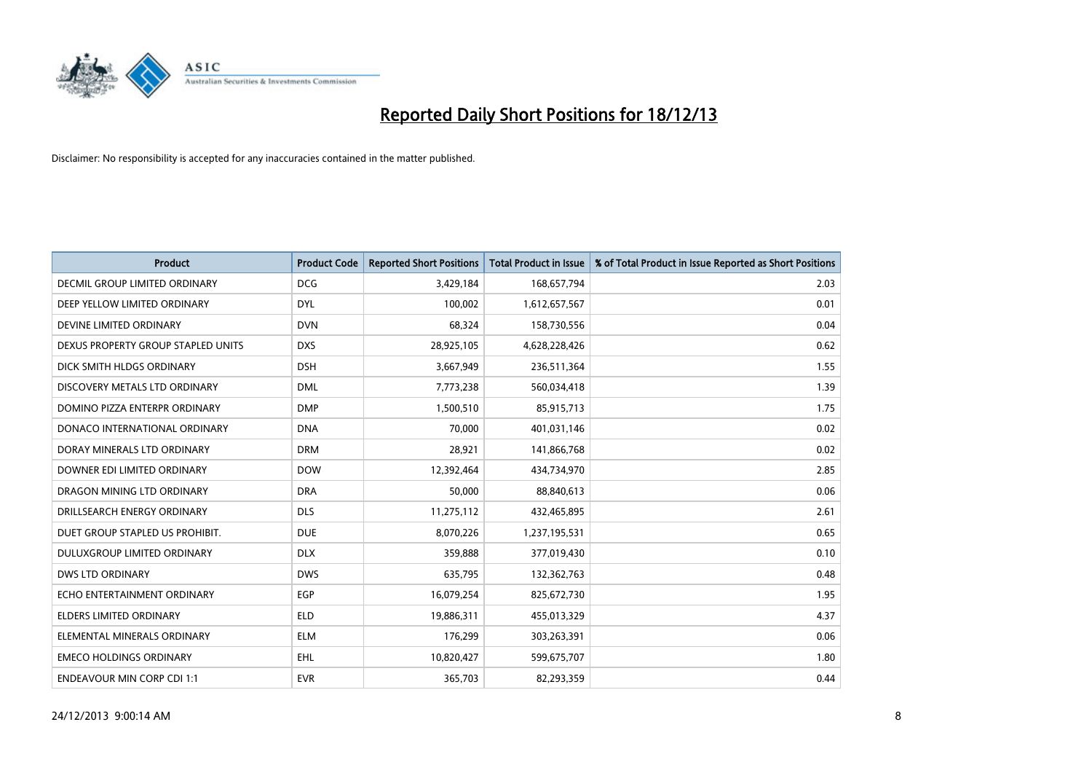

| <b>Product</b>                       | <b>Product Code</b> | <b>Reported Short Positions</b> | <b>Total Product in Issue</b> | % of Total Product in Issue Reported as Short Positions |
|--------------------------------------|---------------------|---------------------------------|-------------------------------|---------------------------------------------------------|
| <b>DECMIL GROUP LIMITED ORDINARY</b> | <b>DCG</b>          | 3,429,184                       | 168,657,794                   | 2.03                                                    |
| DEEP YELLOW LIMITED ORDINARY         | <b>DYL</b>          | 100,002                         | 1,612,657,567                 | 0.01                                                    |
| DEVINE LIMITED ORDINARY              | <b>DVN</b>          | 68,324                          | 158,730,556                   | 0.04                                                    |
| DEXUS PROPERTY GROUP STAPLED UNITS   | <b>DXS</b>          | 28,925,105                      | 4,628,228,426                 | 0.62                                                    |
| DICK SMITH HLDGS ORDINARY            | <b>DSH</b>          | 3,667,949                       | 236,511,364                   | 1.55                                                    |
| DISCOVERY METALS LTD ORDINARY        | <b>DML</b>          | 7,773,238                       | 560,034,418                   | 1.39                                                    |
| DOMINO PIZZA ENTERPR ORDINARY        | <b>DMP</b>          | 1,500,510                       | 85,915,713                    | 1.75                                                    |
| DONACO INTERNATIONAL ORDINARY        | <b>DNA</b>          | 70,000                          | 401,031,146                   | 0.02                                                    |
| DORAY MINERALS LTD ORDINARY          | <b>DRM</b>          | 28,921                          | 141,866,768                   | 0.02                                                    |
| DOWNER EDI LIMITED ORDINARY          | <b>DOW</b>          | 12,392,464                      | 434,734,970                   | 2.85                                                    |
| DRAGON MINING LTD ORDINARY           | <b>DRA</b>          | 50,000                          | 88,840,613                    | 0.06                                                    |
| DRILLSEARCH ENERGY ORDINARY          | <b>DLS</b>          | 11,275,112                      | 432,465,895                   | 2.61                                                    |
| DUET GROUP STAPLED US PROHIBIT.      | <b>DUE</b>          | 8,070,226                       | 1,237,195,531                 | 0.65                                                    |
| DULUXGROUP LIMITED ORDINARY          | <b>DLX</b>          | 359,888                         | 377,019,430                   | 0.10                                                    |
| <b>DWS LTD ORDINARY</b>              | <b>DWS</b>          | 635,795                         | 132,362,763                   | 0.48                                                    |
| ECHO ENTERTAINMENT ORDINARY          | <b>EGP</b>          | 16,079,254                      | 825,672,730                   | 1.95                                                    |
| ELDERS LIMITED ORDINARY              | <b>ELD</b>          | 19,886,311                      | 455,013,329                   | 4.37                                                    |
| ELEMENTAL MINERALS ORDINARY          | ELM                 | 176,299                         | 303,263,391                   | 0.06                                                    |
| <b>EMECO HOLDINGS ORDINARY</b>       | <b>EHL</b>          | 10,820,427                      | 599,675,707                   | 1.80                                                    |
| <b>ENDEAVOUR MIN CORP CDI 1:1</b>    | <b>EVR</b>          | 365,703                         | 82,293,359                    | 0.44                                                    |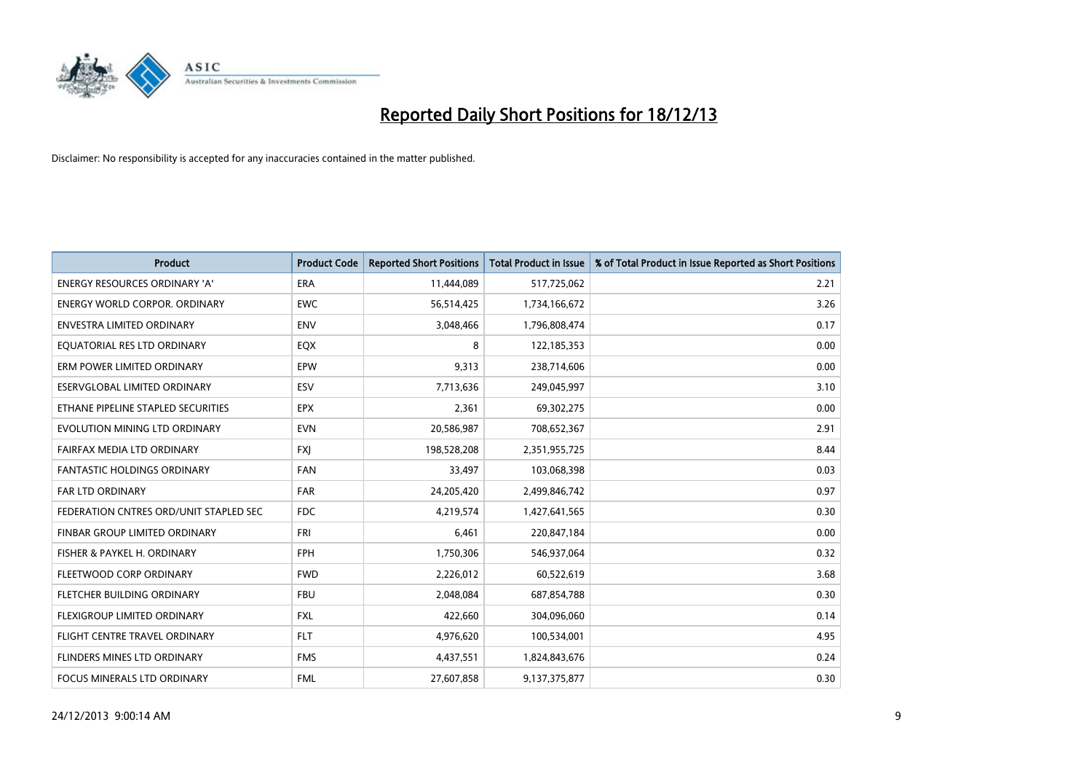

| <b>Product</b>                         | <b>Product Code</b> | <b>Reported Short Positions</b> | <b>Total Product in Issue</b> | % of Total Product in Issue Reported as Short Positions |
|----------------------------------------|---------------------|---------------------------------|-------------------------------|---------------------------------------------------------|
| <b>ENERGY RESOURCES ORDINARY 'A'</b>   | <b>ERA</b>          | 11,444,089                      | 517,725,062                   | 2.21                                                    |
| <b>ENERGY WORLD CORPOR, ORDINARY</b>   | <b>EWC</b>          | 56,514,425                      | 1,734,166,672                 | 3.26                                                    |
| <b>ENVESTRA LIMITED ORDINARY</b>       | <b>ENV</b>          | 3,048,466                       | 1,796,808,474                 | 0.17                                                    |
| EOUATORIAL RES LTD ORDINARY            | EQX                 | 8                               | 122,185,353                   | 0.00                                                    |
| ERM POWER LIMITED ORDINARY             | EPW                 | 9,313                           | 238,714,606                   | 0.00                                                    |
| ESERVGLOBAL LIMITED ORDINARY           | ESV                 | 7,713,636                       | 249,045,997                   | 3.10                                                    |
| ETHANE PIPELINE STAPLED SECURITIES     | <b>EPX</b>          | 2,361                           | 69,302,275                    | 0.00                                                    |
| EVOLUTION MINING LTD ORDINARY          | <b>EVN</b>          | 20,586,987                      | 708,652,367                   | 2.91                                                    |
| FAIRFAX MEDIA LTD ORDINARY             | <b>FXI</b>          | 198,528,208                     | 2,351,955,725                 | 8.44                                                    |
| <b>FANTASTIC HOLDINGS ORDINARY</b>     | <b>FAN</b>          | 33,497                          | 103,068,398                   | 0.03                                                    |
| FAR LTD ORDINARY                       | <b>FAR</b>          | 24,205,420                      | 2,499,846,742                 | 0.97                                                    |
| FEDERATION CNTRES ORD/UNIT STAPLED SEC | FDC                 | 4,219,574                       | 1,427,641,565                 | 0.30                                                    |
| FINBAR GROUP LIMITED ORDINARY          | <b>FRI</b>          | 6,461                           | 220,847,184                   | 0.00                                                    |
| FISHER & PAYKEL H. ORDINARY            | <b>FPH</b>          | 1,750,306                       | 546,937,064                   | 0.32                                                    |
| FLEETWOOD CORP ORDINARY                | <b>FWD</b>          | 2,226,012                       | 60,522,619                    | 3.68                                                    |
| FLETCHER BUILDING ORDINARY             | <b>FBU</b>          | 2,048,084                       | 687,854,788                   | 0.30                                                    |
| FLEXIGROUP LIMITED ORDINARY            | <b>FXL</b>          | 422,660                         | 304,096,060                   | 0.14                                                    |
| FLIGHT CENTRE TRAVEL ORDINARY          | <b>FLT</b>          | 4,976,620                       | 100,534,001                   | 4.95                                                    |
| FLINDERS MINES LTD ORDINARY            | <b>FMS</b>          | 4,437,551                       | 1,824,843,676                 | 0.24                                                    |
| <b>FOCUS MINERALS LTD ORDINARY</b>     | <b>FML</b>          | 27,607,858                      | 9,137,375,877                 | 0.30                                                    |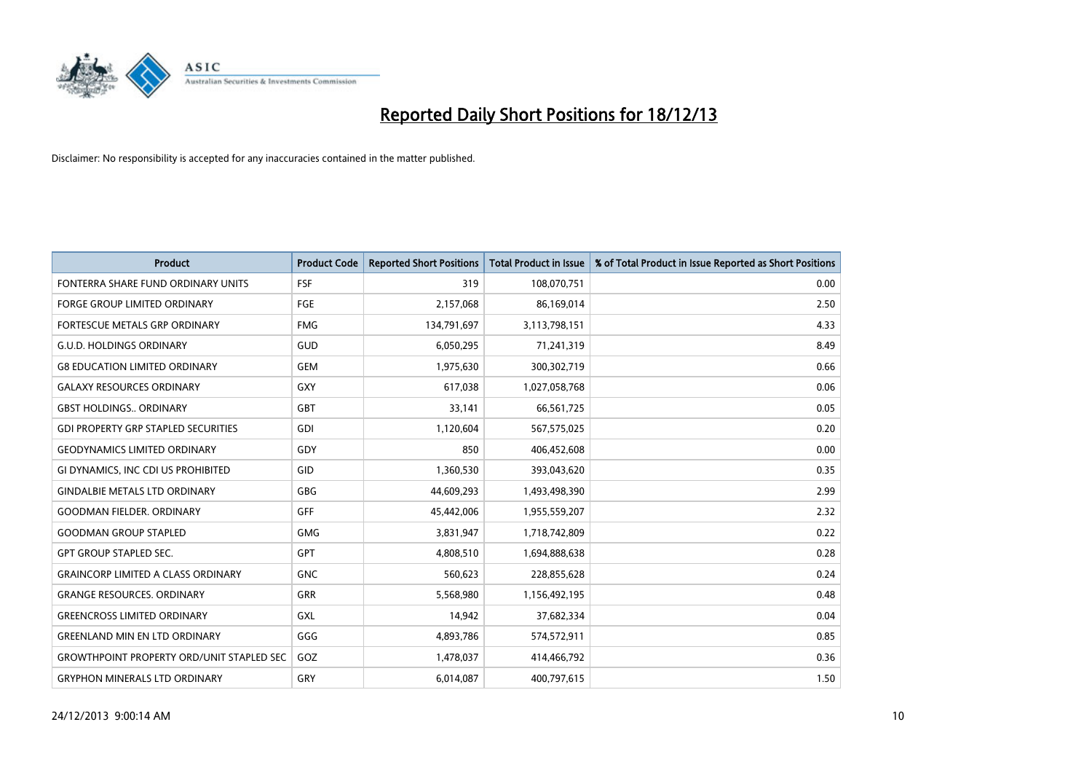

| Product                                          | <b>Product Code</b> | <b>Reported Short Positions</b> | <b>Total Product in Issue</b> | % of Total Product in Issue Reported as Short Positions |
|--------------------------------------------------|---------------------|---------------------------------|-------------------------------|---------------------------------------------------------|
| FONTERRA SHARE FUND ORDINARY UNITS               | <b>FSF</b>          | 319                             | 108,070,751                   | 0.00                                                    |
| <b>FORGE GROUP LIMITED ORDINARY</b>              | <b>FGE</b>          | 2,157,068                       | 86,169,014                    | 2.50                                                    |
| FORTESCUE METALS GRP ORDINARY                    | <b>FMG</b>          | 134,791,697                     | 3,113,798,151                 | 4.33                                                    |
| <b>G.U.D. HOLDINGS ORDINARY</b>                  | GUD                 | 6,050,295                       | 71,241,319                    | 8.49                                                    |
| <b>G8 EDUCATION LIMITED ORDINARY</b>             | <b>GEM</b>          | 1,975,630                       | 300,302,719                   | 0.66                                                    |
| <b>GALAXY RESOURCES ORDINARY</b>                 | GXY                 | 617,038                         | 1,027,058,768                 | 0.06                                                    |
| <b>GBST HOLDINGS ORDINARY</b>                    | GBT                 | 33,141                          | 66,561,725                    | 0.05                                                    |
| <b>GDI PROPERTY GRP STAPLED SECURITIES</b>       | GDI                 | 1,120,604                       | 567,575,025                   | 0.20                                                    |
| <b>GEODYNAMICS LIMITED ORDINARY</b>              | <b>GDY</b>          | 850                             | 406,452,608                   | 0.00                                                    |
| GI DYNAMICS, INC CDI US PROHIBITED               | GID                 | 1,360,530                       | 393,043,620                   | 0.35                                                    |
| <b>GINDALBIE METALS LTD ORDINARY</b>             | GBG                 | 44,609,293                      | 1,493,498,390                 | 2.99                                                    |
| <b>GOODMAN FIELDER, ORDINARY</b>                 | GFF                 | 45,442,006                      | 1,955,559,207                 | 2.32                                                    |
| <b>GOODMAN GROUP STAPLED</b>                     | <b>GMG</b>          | 3,831,947                       | 1,718,742,809                 | 0.22                                                    |
| <b>GPT GROUP STAPLED SEC.</b>                    | GPT                 | 4,808,510                       | 1,694,888,638                 | 0.28                                                    |
| <b>GRAINCORP LIMITED A CLASS ORDINARY</b>        | <b>GNC</b>          | 560,623                         | 228,855,628                   | 0.24                                                    |
| <b>GRANGE RESOURCES, ORDINARY</b>                | <b>GRR</b>          | 5,568,980                       | 1,156,492,195                 | 0.48                                                    |
| <b>GREENCROSS LIMITED ORDINARY</b>               | <b>GXL</b>          | 14,942                          | 37,682,334                    | 0.04                                                    |
| <b>GREENLAND MIN EN LTD ORDINARY</b>             | GGG                 | 4,893,786                       | 574,572,911                   | 0.85                                                    |
| <b>GROWTHPOINT PROPERTY ORD/UNIT STAPLED SEC</b> | GOZ                 | 1,478,037                       | 414,466,792                   | 0.36                                                    |
| <b>GRYPHON MINERALS LTD ORDINARY</b>             | GRY                 | 6,014,087                       | 400,797,615                   | 1.50                                                    |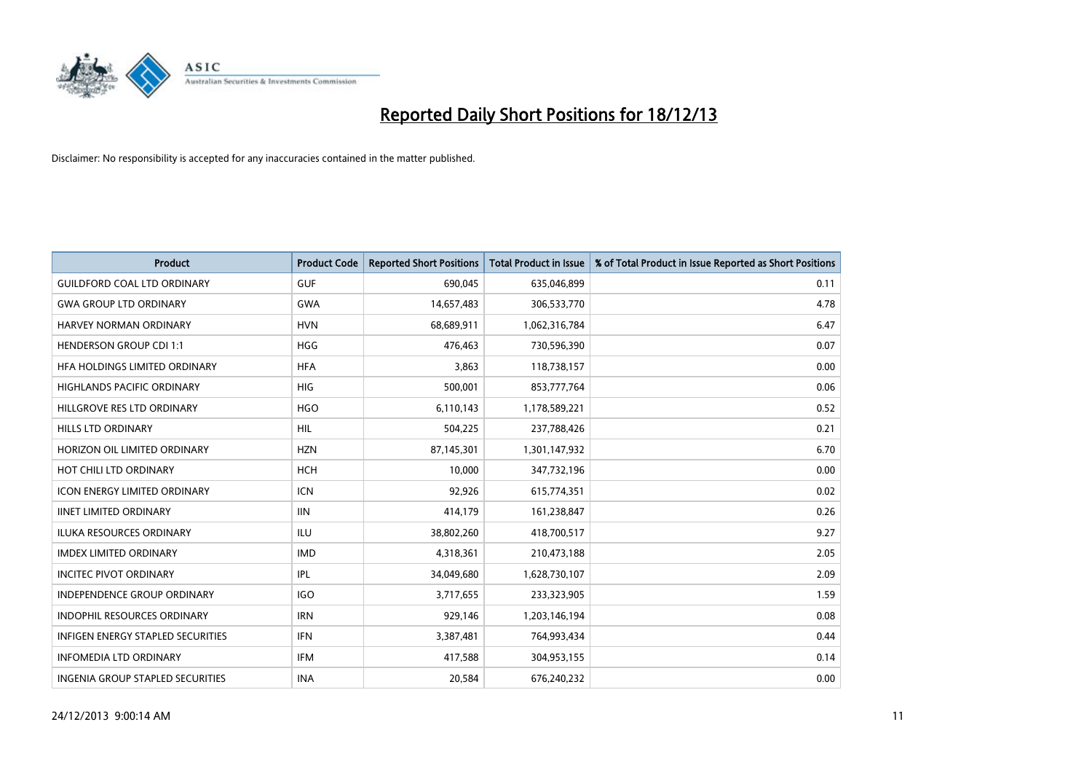

| <b>Product</b>                           | <b>Product Code</b> | <b>Reported Short Positions</b> | <b>Total Product in Issue</b> | % of Total Product in Issue Reported as Short Positions |
|------------------------------------------|---------------------|---------------------------------|-------------------------------|---------------------------------------------------------|
| <b>GUILDFORD COAL LTD ORDINARY</b>       | <b>GUF</b>          | 690,045                         | 635,046,899                   | 0.11                                                    |
| <b>GWA GROUP LTD ORDINARY</b>            | <b>GWA</b>          | 14,657,483                      | 306,533,770                   | 4.78                                                    |
| HARVEY NORMAN ORDINARY                   | <b>HVN</b>          | 68,689,911                      | 1,062,316,784                 | 6.47                                                    |
| <b>HENDERSON GROUP CDI 1:1</b>           | <b>HGG</b>          | 476,463                         | 730,596,390                   | 0.07                                                    |
| HFA HOLDINGS LIMITED ORDINARY            | <b>HFA</b>          | 3,863                           | 118,738,157                   | 0.00                                                    |
| <b>HIGHLANDS PACIFIC ORDINARY</b>        | <b>HIG</b>          | 500,001                         | 853,777,764                   | 0.06                                                    |
| HILLGROVE RES LTD ORDINARY               | <b>HGO</b>          | 6,110,143                       | 1,178,589,221                 | 0.52                                                    |
| <b>HILLS LTD ORDINARY</b>                | <b>HIL</b>          | 504,225                         | 237,788,426                   | 0.21                                                    |
| HORIZON OIL LIMITED ORDINARY             | <b>HZN</b>          | 87,145,301                      | 1,301,147,932                 | 6.70                                                    |
| HOT CHILI LTD ORDINARY                   | <b>HCH</b>          | 10,000                          | 347,732,196                   | 0.00                                                    |
| <b>ICON ENERGY LIMITED ORDINARY</b>      | <b>ICN</b>          | 92,926                          | 615,774,351                   | 0.02                                                    |
| <b>IINET LIMITED ORDINARY</b>            | <b>IIN</b>          | 414,179                         | 161,238,847                   | 0.26                                                    |
| <b>ILUKA RESOURCES ORDINARY</b>          | ILU                 | 38,802,260                      | 418,700,517                   | 9.27                                                    |
| <b>IMDEX LIMITED ORDINARY</b>            | <b>IMD</b>          | 4,318,361                       | 210,473,188                   | 2.05                                                    |
| <b>INCITEC PIVOT ORDINARY</b>            | IPL                 | 34,049,680                      | 1,628,730,107                 | 2.09                                                    |
| INDEPENDENCE GROUP ORDINARY              | <b>IGO</b>          | 3,717,655                       | 233,323,905                   | 1.59                                                    |
| INDOPHIL RESOURCES ORDINARY              | <b>IRN</b>          | 929,146                         | 1,203,146,194                 | 0.08                                                    |
| <b>INFIGEN ENERGY STAPLED SECURITIES</b> | <b>IFN</b>          | 3,387,481                       | 764,993,434                   | 0.44                                                    |
| <b>INFOMEDIA LTD ORDINARY</b>            | IFM                 | 417,588                         | 304,953,155                   | 0.14                                                    |
| <b>INGENIA GROUP STAPLED SECURITIES</b>  | <b>INA</b>          | 20,584                          | 676,240,232                   | 0.00                                                    |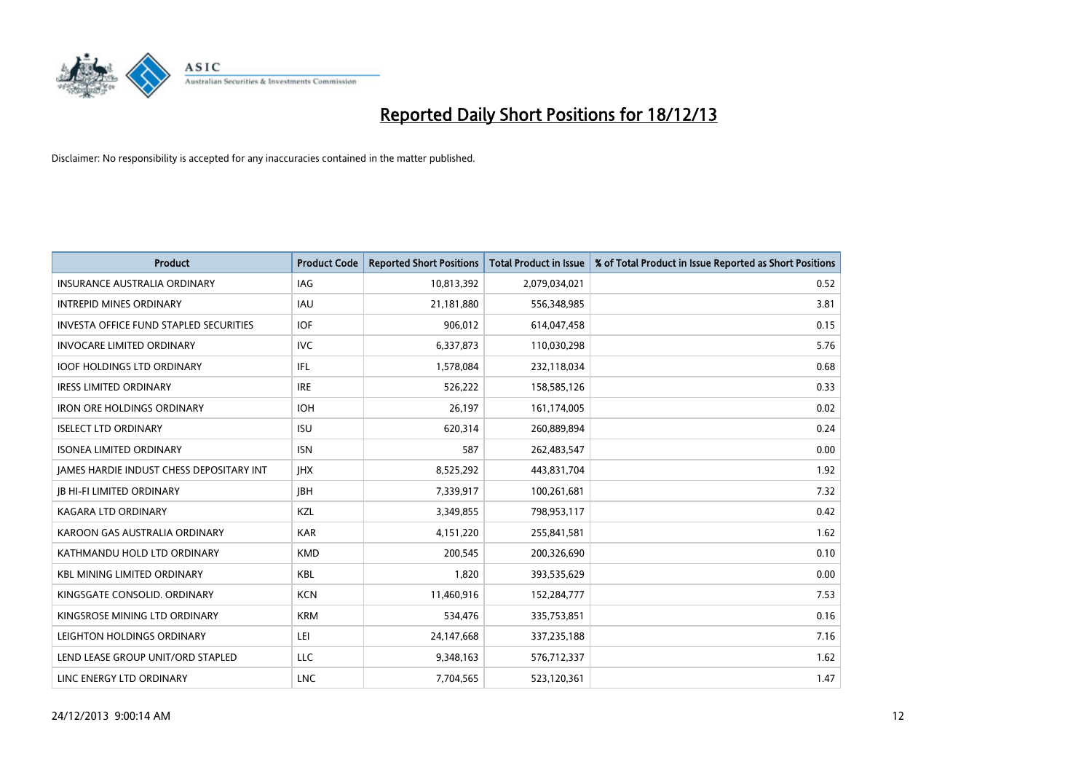

| <b>Product</b>                                  | <b>Product Code</b> | <b>Reported Short Positions</b> | <b>Total Product in Issue</b> | % of Total Product in Issue Reported as Short Positions |
|-------------------------------------------------|---------------------|---------------------------------|-------------------------------|---------------------------------------------------------|
| <b>INSURANCE AUSTRALIA ORDINARY</b>             | <b>IAG</b>          | 10,813,392                      | 2,079,034,021                 | 0.52                                                    |
| <b>INTREPID MINES ORDINARY</b>                  | <b>IAU</b>          | 21,181,880                      | 556,348,985                   | 3.81                                                    |
| <b>INVESTA OFFICE FUND STAPLED SECURITIES</b>   | <b>IOF</b>          | 906,012                         | 614,047,458                   | 0.15                                                    |
| <b>INVOCARE LIMITED ORDINARY</b>                | <b>IVC</b>          | 6,337,873                       | 110,030,298                   | 5.76                                                    |
| <b>IOOF HOLDINGS LTD ORDINARY</b>               | IFL                 | 1,578,084                       | 232,118,034                   | 0.68                                                    |
| <b>IRESS LIMITED ORDINARY</b>                   | <b>IRE</b>          | 526,222                         | 158,585,126                   | 0.33                                                    |
| <b>IRON ORE HOLDINGS ORDINARY</b>               | <b>IOH</b>          | 26,197                          | 161,174,005                   | 0.02                                                    |
| <b>ISELECT LTD ORDINARY</b>                     | <b>ISU</b>          | 620,314                         | 260,889,894                   | 0.24                                                    |
| <b>ISONEA LIMITED ORDINARY</b>                  | <b>ISN</b>          | 587                             | 262,483,547                   | 0.00                                                    |
| <b>JAMES HARDIE INDUST CHESS DEPOSITARY INT</b> | <b>IHX</b>          | 8,525,292                       | 443,831,704                   | 1.92                                                    |
| <b>JB HI-FI LIMITED ORDINARY</b>                | <b>IBH</b>          | 7,339,917                       | 100,261,681                   | 7.32                                                    |
| <b>KAGARA LTD ORDINARY</b>                      | KZL                 | 3,349,855                       | 798,953,117                   | 0.42                                                    |
| KAROON GAS AUSTRALIA ORDINARY                   | <b>KAR</b>          | 4,151,220                       | 255,841,581                   | 1.62                                                    |
| KATHMANDU HOLD LTD ORDINARY                     | <b>KMD</b>          | 200,545                         | 200,326,690                   | 0.10                                                    |
| <b>KBL MINING LIMITED ORDINARY</b>              | <b>KBL</b>          | 1,820                           | 393,535,629                   | 0.00                                                    |
| KINGSGATE CONSOLID. ORDINARY                    | <b>KCN</b>          | 11,460,916                      | 152,284,777                   | 7.53                                                    |
| KINGSROSE MINING LTD ORDINARY                   | <b>KRM</b>          | 534,476                         | 335,753,851                   | 0.16                                                    |
| LEIGHTON HOLDINGS ORDINARY                      | LEI                 | 24,147,668                      | 337,235,188                   | 7.16                                                    |
| LEND LEASE GROUP UNIT/ORD STAPLED               | <b>LLC</b>          | 9,348,163                       | 576,712,337                   | 1.62                                                    |
| LINC ENERGY LTD ORDINARY                        | <b>LNC</b>          | 7,704,565                       | 523,120,361                   | 1.47                                                    |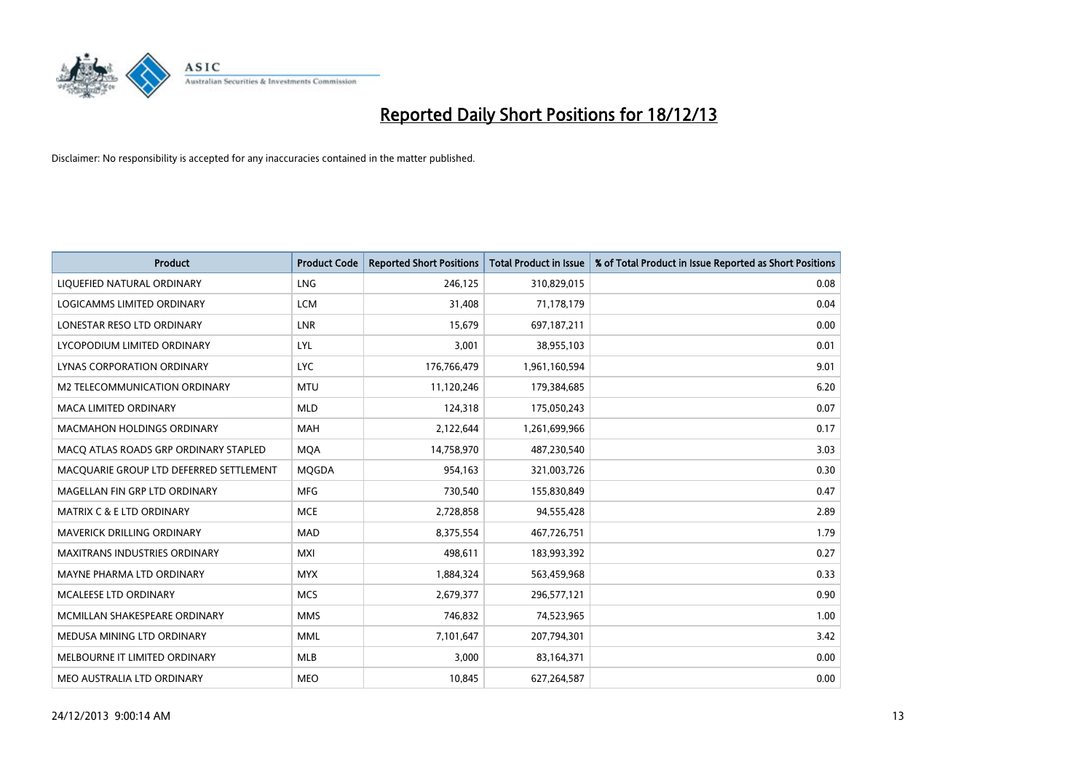

| <b>Product</b>                          | <b>Product Code</b> | <b>Reported Short Positions</b> | <b>Total Product in Issue</b> | % of Total Product in Issue Reported as Short Positions |
|-----------------------------------------|---------------------|---------------------------------|-------------------------------|---------------------------------------------------------|
| LIQUEFIED NATURAL ORDINARY              | <b>LNG</b>          | 246,125                         | 310,829,015                   | 0.08                                                    |
| LOGICAMMS LIMITED ORDINARY              | <b>LCM</b>          | 31,408                          | 71,178,179                    | 0.04                                                    |
| LONESTAR RESO LTD ORDINARY              | <b>LNR</b>          | 15,679                          | 697,187,211                   | 0.00                                                    |
| LYCOPODIUM LIMITED ORDINARY             | LYL                 | 3,001                           | 38,955,103                    | 0.01                                                    |
| LYNAS CORPORATION ORDINARY              | <b>LYC</b>          | 176,766,479                     | 1,961,160,594                 | 9.01                                                    |
| <b>M2 TELECOMMUNICATION ORDINARY</b>    | <b>MTU</b>          | 11,120,246                      | 179,384,685                   | 6.20                                                    |
| <b>MACA LIMITED ORDINARY</b>            | <b>MLD</b>          | 124,318                         | 175,050,243                   | 0.07                                                    |
| MACMAHON HOLDINGS ORDINARY              | MAH                 | 2,122,644                       | 1,261,699,966                 | 0.17                                                    |
| MACO ATLAS ROADS GRP ORDINARY STAPLED   | <b>MOA</b>          | 14,758,970                      | 487,230,540                   | 3.03                                                    |
| MACQUARIE GROUP LTD DEFERRED SETTLEMENT | MQGDA               | 954,163                         | 321,003,726                   | 0.30                                                    |
| MAGELLAN FIN GRP LTD ORDINARY           | <b>MFG</b>          | 730,540                         | 155,830,849                   | 0.47                                                    |
| <b>MATRIX C &amp; E LTD ORDINARY</b>    | <b>MCE</b>          | 2,728,858                       | 94,555,428                    | 2.89                                                    |
| MAVERICK DRILLING ORDINARY              | <b>MAD</b>          | 8,375,554                       | 467,726,751                   | 1.79                                                    |
| <b>MAXITRANS INDUSTRIES ORDINARY</b>    | <b>MXI</b>          | 498,611                         | 183,993,392                   | 0.27                                                    |
| MAYNE PHARMA LTD ORDINARY               | <b>MYX</b>          | 1,884,324                       | 563,459,968                   | 0.33                                                    |
| MCALEESE LTD ORDINARY                   | <b>MCS</b>          | 2,679,377                       | 296,577,121                   | 0.90                                                    |
| MCMILLAN SHAKESPEARE ORDINARY           | <b>MMS</b>          | 746,832                         | 74,523,965                    | 1.00                                                    |
| MEDUSA MINING LTD ORDINARY              | <b>MML</b>          | 7,101,647                       | 207,794,301                   | 3.42                                                    |
| MELBOURNE IT LIMITED ORDINARY           | <b>MLB</b>          | 3,000                           | 83,164,371                    | 0.00                                                    |
| MEO AUSTRALIA LTD ORDINARY              | <b>MEO</b>          | 10,845                          | 627,264,587                   | 0.00                                                    |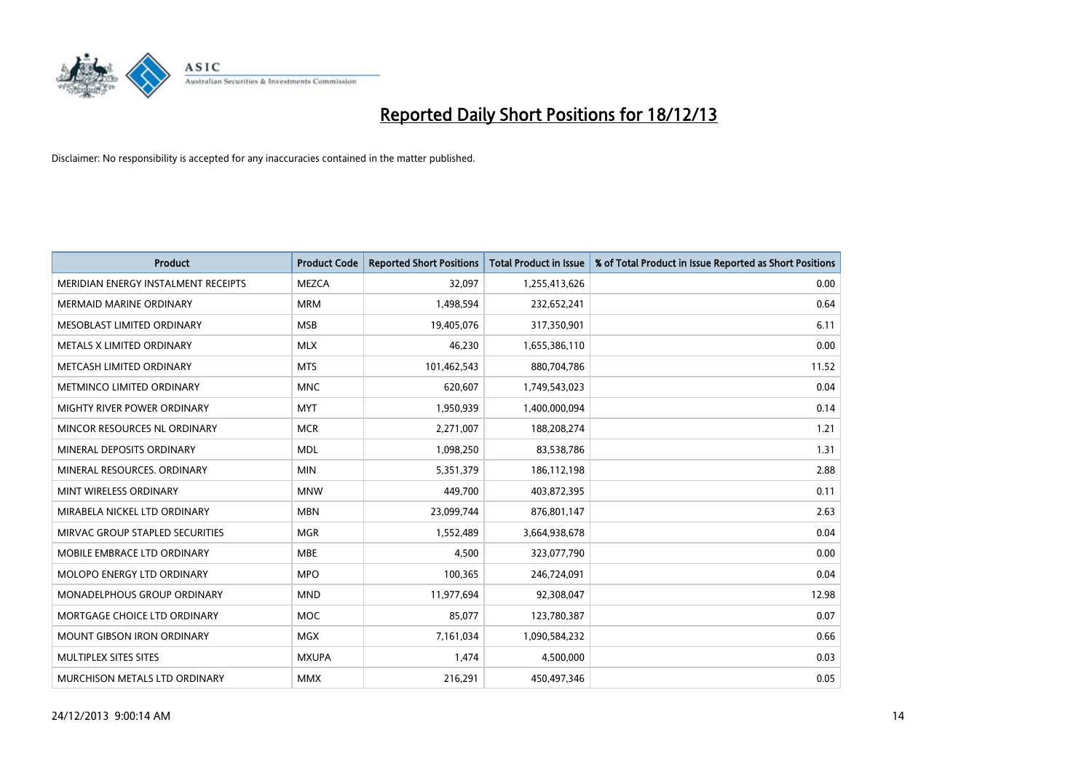

| <b>Product</b>                      | <b>Product Code</b> | <b>Reported Short Positions</b> | <b>Total Product in Issue</b> | % of Total Product in Issue Reported as Short Positions |
|-------------------------------------|---------------------|---------------------------------|-------------------------------|---------------------------------------------------------|
| MERIDIAN ENERGY INSTALMENT RECEIPTS | <b>MEZCA</b>        | 32,097                          | 1,255,413,626                 | 0.00                                                    |
| <b>MERMAID MARINE ORDINARY</b>      | <b>MRM</b>          | 1,498,594                       | 232,652,241                   | 0.64                                                    |
| MESOBLAST LIMITED ORDINARY          | <b>MSB</b>          | 19,405,076                      | 317,350,901                   | 6.11                                                    |
| METALS X LIMITED ORDINARY           | <b>MLX</b>          | 46,230                          | 1,655,386,110                 | 0.00                                                    |
| METCASH LIMITED ORDINARY            | <b>MTS</b>          | 101,462,543                     | 880,704,786                   | 11.52                                                   |
| METMINCO LIMITED ORDINARY           | <b>MNC</b>          | 620,607                         | 1,749,543,023                 | 0.04                                                    |
| MIGHTY RIVER POWER ORDINARY         | <b>MYT</b>          | 1,950,939                       | 1,400,000,094                 | 0.14                                                    |
| MINCOR RESOURCES NL ORDINARY        | <b>MCR</b>          | 2,271,007                       | 188,208,274                   | 1.21                                                    |
| MINERAL DEPOSITS ORDINARY           | <b>MDL</b>          | 1,098,250                       | 83,538,786                    | 1.31                                                    |
| MINERAL RESOURCES, ORDINARY         | <b>MIN</b>          | 5,351,379                       | 186,112,198                   | 2.88                                                    |
| MINT WIRELESS ORDINARY              | <b>MNW</b>          | 449,700                         | 403,872,395                   | 0.11                                                    |
| MIRABELA NICKEL LTD ORDINARY        | <b>MBN</b>          | 23,099,744                      | 876,801,147                   | 2.63                                                    |
| MIRVAC GROUP STAPLED SECURITIES     | <b>MGR</b>          | 1,552,489                       | 3,664,938,678                 | 0.04                                                    |
| MOBILE EMBRACE LTD ORDINARY         | <b>MBE</b>          | 4,500                           | 323,077,790                   | 0.00                                                    |
| MOLOPO ENERGY LTD ORDINARY          | <b>MPO</b>          | 100,365                         | 246,724,091                   | 0.04                                                    |
| MONADELPHOUS GROUP ORDINARY         | <b>MND</b>          | 11,977,694                      | 92,308,047                    | 12.98                                                   |
| MORTGAGE CHOICE LTD ORDINARY        | <b>MOC</b>          | 85,077                          | 123,780,387                   | 0.07                                                    |
| <b>MOUNT GIBSON IRON ORDINARY</b>   | <b>MGX</b>          | 7,161,034                       | 1,090,584,232                 | 0.66                                                    |
| MULTIPLEX SITES SITES               | <b>MXUPA</b>        | 1,474                           | 4,500,000                     | 0.03                                                    |
| MURCHISON METALS LTD ORDINARY       | <b>MMX</b>          | 216,291                         | 450,497,346                   | 0.05                                                    |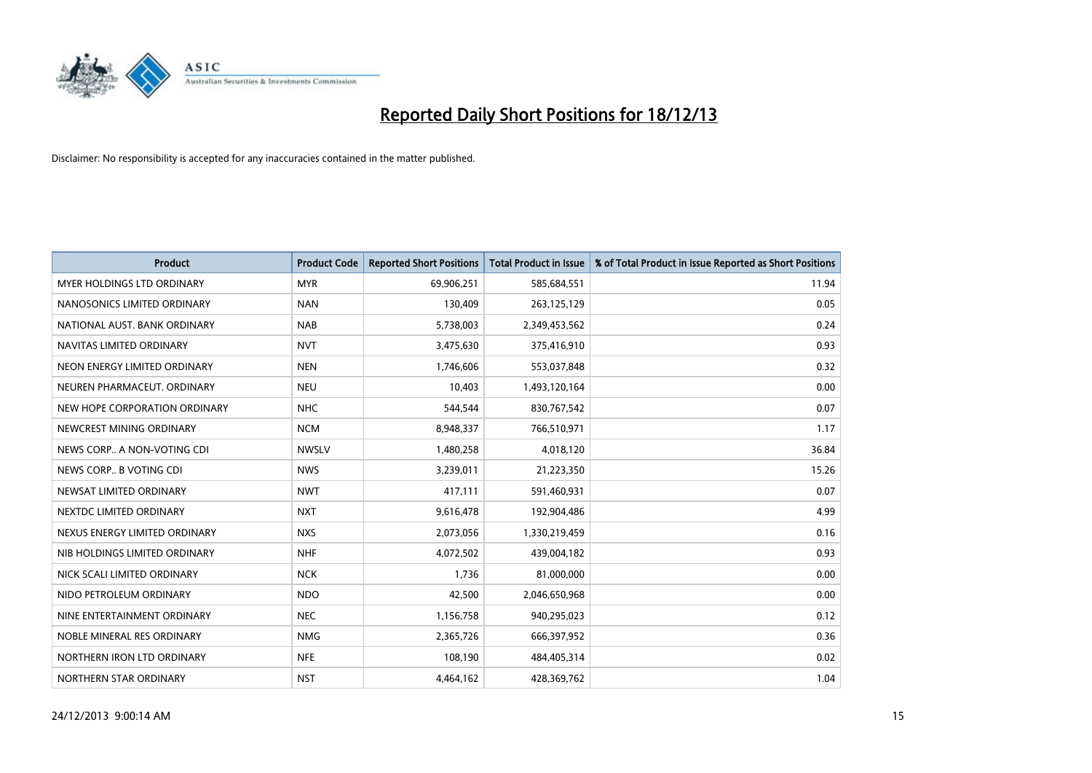

| <b>Product</b>                | <b>Product Code</b> | <b>Reported Short Positions</b> | <b>Total Product in Issue</b> | % of Total Product in Issue Reported as Short Positions |
|-------------------------------|---------------------|---------------------------------|-------------------------------|---------------------------------------------------------|
| MYER HOLDINGS LTD ORDINARY    | <b>MYR</b>          | 69,906,251                      | 585,684,551                   | 11.94                                                   |
| NANOSONICS LIMITED ORDINARY   | <b>NAN</b>          | 130,409                         | 263,125,129                   | 0.05                                                    |
| NATIONAL AUST, BANK ORDINARY  | <b>NAB</b>          | 5,738,003                       | 2,349,453,562                 | 0.24                                                    |
| NAVITAS LIMITED ORDINARY      | <b>NVT</b>          | 3,475,630                       | 375,416,910                   | 0.93                                                    |
| NEON ENERGY LIMITED ORDINARY  | <b>NEN</b>          | 1,746,606                       | 553,037,848                   | 0.32                                                    |
| NEUREN PHARMACEUT, ORDINARY   | <b>NEU</b>          | 10,403                          | 1,493,120,164                 | 0.00                                                    |
| NEW HOPE CORPORATION ORDINARY | <b>NHC</b>          | 544,544                         | 830,767,542                   | 0.07                                                    |
| NEWCREST MINING ORDINARY      | <b>NCM</b>          | 8,948,337                       | 766,510,971                   | 1.17                                                    |
| NEWS CORP A NON-VOTING CDI    | <b>NWSLV</b>        | 1,480,258                       | 4,018,120                     | 36.84                                                   |
| NEWS CORP B VOTING CDI        | <b>NWS</b>          | 3,239,011                       | 21,223,350                    | 15.26                                                   |
| NEWSAT LIMITED ORDINARY       | <b>NWT</b>          | 417,111                         | 591,460,931                   | 0.07                                                    |
| NEXTDC LIMITED ORDINARY       | <b>NXT</b>          | 9,616,478                       | 192,904,486                   | 4.99                                                    |
| NEXUS ENERGY LIMITED ORDINARY | <b>NXS</b>          | 2,073,056                       | 1,330,219,459                 | 0.16                                                    |
| NIB HOLDINGS LIMITED ORDINARY | <b>NHF</b>          | 4,072,502                       | 439,004,182                   | 0.93                                                    |
| NICK SCALI LIMITED ORDINARY   | <b>NCK</b>          | 1,736                           | 81,000,000                    | 0.00                                                    |
| NIDO PETROLEUM ORDINARY       | <b>NDO</b>          | 42,500                          | 2,046,650,968                 | 0.00                                                    |
| NINE ENTERTAINMENT ORDINARY   | <b>NEC</b>          | 1,156,758                       | 940,295,023                   | 0.12                                                    |
| NOBLE MINERAL RES ORDINARY    | <b>NMG</b>          | 2,365,726                       | 666,397,952                   | 0.36                                                    |
| NORTHERN IRON LTD ORDINARY    | <b>NFE</b>          | 108,190                         | 484,405,314                   | 0.02                                                    |
| NORTHERN STAR ORDINARY        | <b>NST</b>          | 4,464,162                       | 428,369,762                   | 1.04                                                    |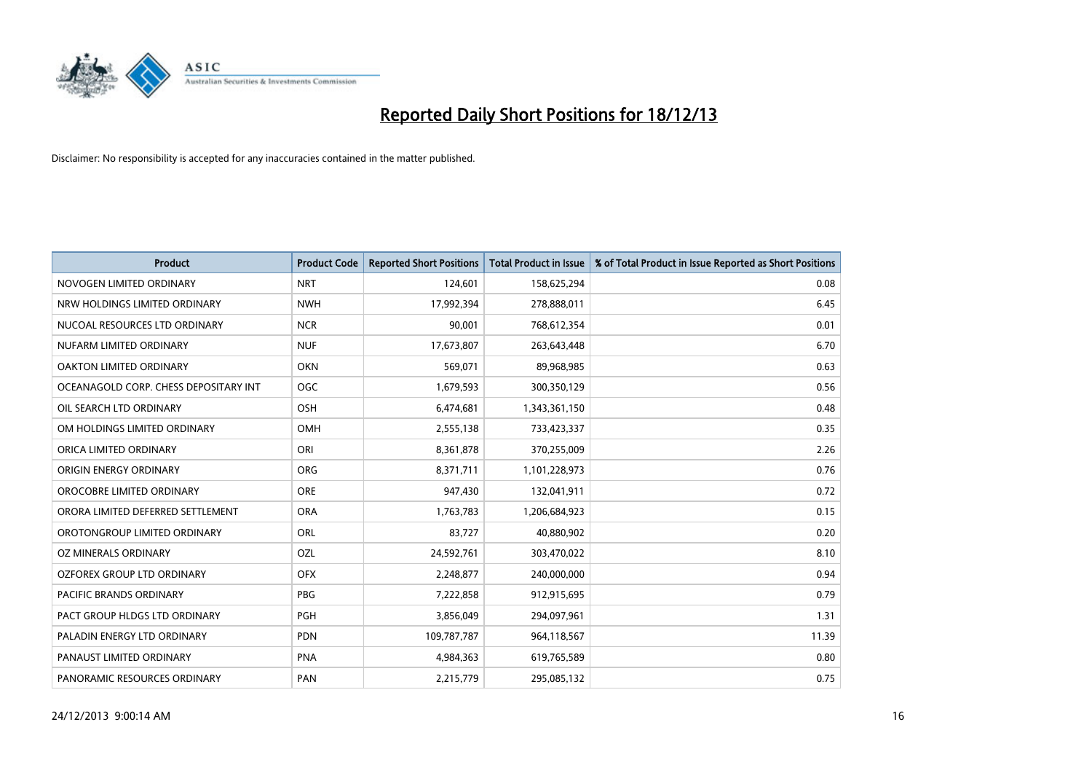

| <b>Product</b>                        | <b>Product Code</b> | <b>Reported Short Positions</b> | <b>Total Product in Issue</b> | % of Total Product in Issue Reported as Short Positions |
|---------------------------------------|---------------------|---------------------------------|-------------------------------|---------------------------------------------------------|
| NOVOGEN LIMITED ORDINARY              | <b>NRT</b>          | 124,601                         | 158,625,294                   | 0.08                                                    |
| NRW HOLDINGS LIMITED ORDINARY         | <b>NWH</b>          | 17,992,394                      | 278,888,011                   | 6.45                                                    |
| NUCOAL RESOURCES LTD ORDINARY         | <b>NCR</b>          | 90,001                          | 768,612,354                   | 0.01                                                    |
| NUFARM LIMITED ORDINARY               | <b>NUF</b>          | 17,673,807                      | 263,643,448                   | 6.70                                                    |
| <b>OAKTON LIMITED ORDINARY</b>        | <b>OKN</b>          | 569,071                         | 89,968,985                    | 0.63                                                    |
| OCEANAGOLD CORP. CHESS DEPOSITARY INT | OGC                 | 1,679,593                       | 300,350,129                   | 0.56                                                    |
| OIL SEARCH LTD ORDINARY               | <b>OSH</b>          | 6,474,681                       | 1,343,361,150                 | 0.48                                                    |
| OM HOLDINGS LIMITED ORDINARY          | OMH                 | 2,555,138                       | 733,423,337                   | 0.35                                                    |
| ORICA LIMITED ORDINARY                | ORI                 | 8,361,878                       | 370,255,009                   | 2.26                                                    |
| ORIGIN ENERGY ORDINARY                | <b>ORG</b>          | 8,371,711                       | 1,101,228,973                 | 0.76                                                    |
| OROCOBRE LIMITED ORDINARY             | <b>ORE</b>          | 947,430                         | 132,041,911                   | 0.72                                                    |
| ORORA LIMITED DEFERRED SETTLEMENT     | <b>ORA</b>          | 1,763,783                       | 1,206,684,923                 | 0.15                                                    |
| OROTONGROUP LIMITED ORDINARY          | <b>ORL</b>          | 83,727                          | 40,880,902                    | 0.20                                                    |
| OZ MINERALS ORDINARY                  | OZL                 | 24,592,761                      | 303,470,022                   | 8.10                                                    |
| OZFOREX GROUP LTD ORDINARY            | <b>OFX</b>          | 2,248,877                       | 240,000,000                   | 0.94                                                    |
| PACIFIC BRANDS ORDINARY               | <b>PBG</b>          | 7,222,858                       | 912,915,695                   | 0.79                                                    |
| PACT GROUP HLDGS LTD ORDINARY         | PGH                 | 3,856,049                       | 294,097,961                   | 1.31                                                    |
| PALADIN ENERGY LTD ORDINARY           | <b>PDN</b>          | 109,787,787                     | 964,118,567                   | 11.39                                                   |
| PANAUST LIMITED ORDINARY              | <b>PNA</b>          | 4,984,363                       | 619,765,589                   | 0.80                                                    |
| PANORAMIC RESOURCES ORDINARY          | PAN                 | 2,215,779                       | 295,085,132                   | 0.75                                                    |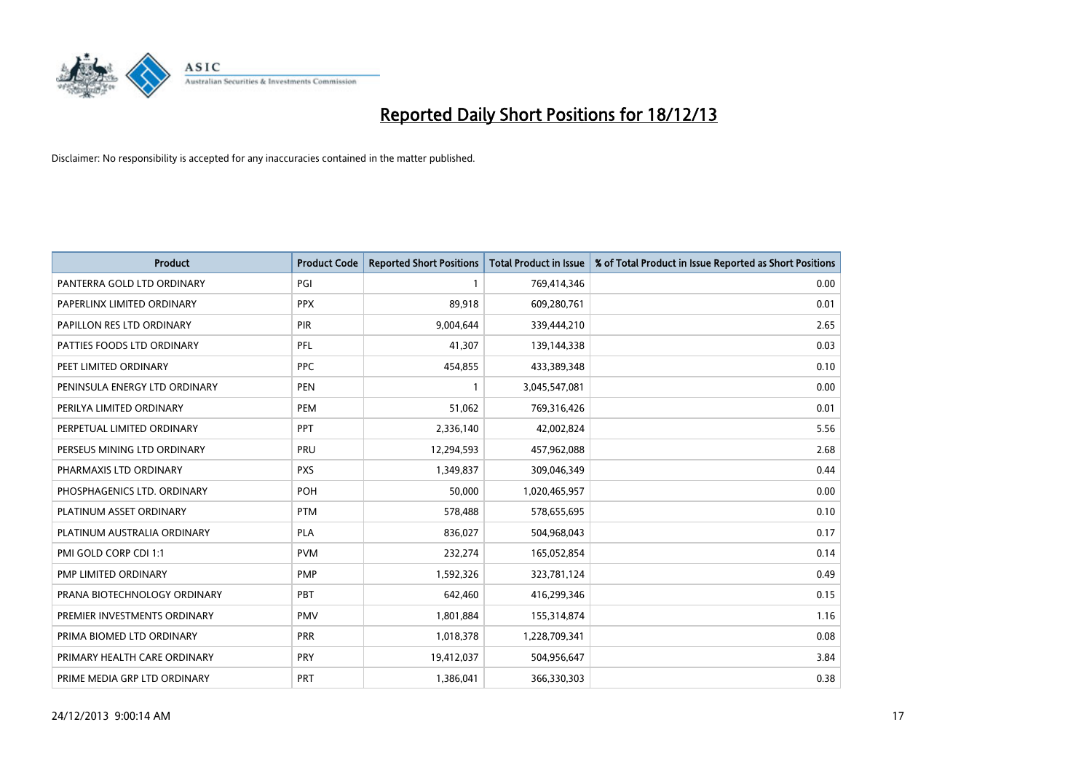

| <b>Product</b>                | <b>Product Code</b> | <b>Reported Short Positions</b> | <b>Total Product in Issue</b> | % of Total Product in Issue Reported as Short Positions |
|-------------------------------|---------------------|---------------------------------|-------------------------------|---------------------------------------------------------|
| PANTERRA GOLD LTD ORDINARY    | PGI                 | $\mathbf{1}$                    | 769,414,346                   | 0.00                                                    |
| PAPERLINX LIMITED ORDINARY    | <b>PPX</b>          | 89,918                          | 609,280,761                   | 0.01                                                    |
| PAPILLON RES LTD ORDINARY     | <b>PIR</b>          | 9,004,644                       | 339,444,210                   | 2.65                                                    |
| PATTIES FOODS LTD ORDINARY    | PFL                 | 41,307                          | 139,144,338                   | 0.03                                                    |
| PEET LIMITED ORDINARY         | <b>PPC</b>          | 454,855                         | 433,389,348                   | 0.10                                                    |
| PENINSULA ENERGY LTD ORDINARY | <b>PEN</b>          | $\mathbf{1}$                    | 3,045,547,081                 | 0.00                                                    |
| PERILYA LIMITED ORDINARY      | PEM                 | 51,062                          | 769,316,426                   | 0.01                                                    |
| PERPETUAL LIMITED ORDINARY    | <b>PPT</b>          | 2,336,140                       | 42,002,824                    | 5.56                                                    |
| PERSEUS MINING LTD ORDINARY   | <b>PRU</b>          | 12,294,593                      | 457,962,088                   | 2.68                                                    |
| PHARMAXIS LTD ORDINARY        | <b>PXS</b>          | 1,349,837                       | 309,046,349                   | 0.44                                                    |
| PHOSPHAGENICS LTD. ORDINARY   | POH                 | 50,000                          | 1,020,465,957                 | 0.00                                                    |
| PLATINUM ASSET ORDINARY       | <b>PTM</b>          | 578,488                         | 578,655,695                   | 0.10                                                    |
| PLATINUM AUSTRALIA ORDINARY   | <b>PLA</b>          | 836,027                         | 504,968,043                   | 0.17                                                    |
| PMI GOLD CORP CDI 1:1         | <b>PVM</b>          | 232,274                         | 165,052,854                   | 0.14                                                    |
| PMP LIMITED ORDINARY          | <b>PMP</b>          | 1,592,326                       | 323,781,124                   | 0.49                                                    |
| PRANA BIOTECHNOLOGY ORDINARY  | <b>PBT</b>          | 642,460                         | 416,299,346                   | 0.15                                                    |
| PREMIER INVESTMENTS ORDINARY  | <b>PMV</b>          | 1,801,884                       | 155,314,874                   | 1.16                                                    |
| PRIMA BIOMED LTD ORDINARY     | <b>PRR</b>          | 1,018,378                       | 1,228,709,341                 | 0.08                                                    |
| PRIMARY HEALTH CARE ORDINARY  | <b>PRY</b>          | 19,412,037                      | 504,956,647                   | 3.84                                                    |
| PRIME MEDIA GRP LTD ORDINARY  | <b>PRT</b>          | 1,386,041                       | 366,330,303                   | 0.38                                                    |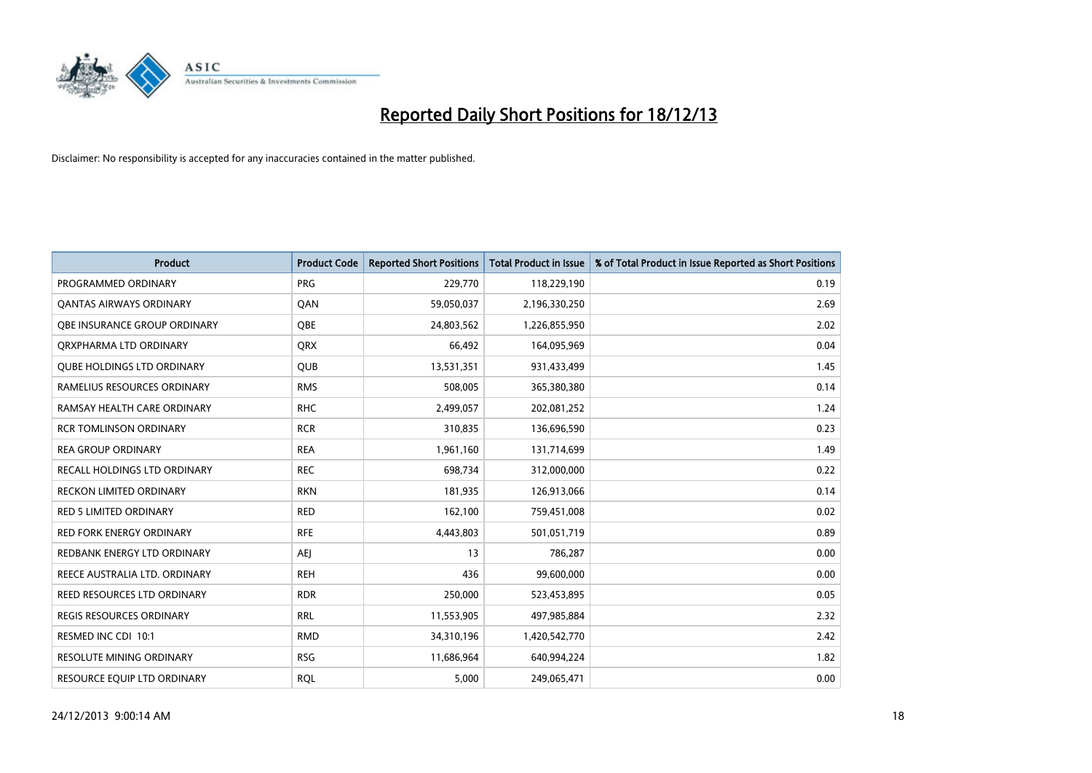

| <b>Product</b>                    | <b>Product Code</b> | <b>Reported Short Positions</b> | <b>Total Product in Issue</b> | % of Total Product in Issue Reported as Short Positions |
|-----------------------------------|---------------------|---------------------------------|-------------------------------|---------------------------------------------------------|
| PROGRAMMED ORDINARY               | <b>PRG</b>          | 229,770                         | 118,229,190                   | 0.19                                                    |
| <b>QANTAS AIRWAYS ORDINARY</b>    | QAN                 | 59,050,037                      | 2,196,330,250                 | 2.69                                                    |
| OBE INSURANCE GROUP ORDINARY      | <b>OBE</b>          | 24,803,562                      | 1,226,855,950                 | 2.02                                                    |
| ORXPHARMA LTD ORDINARY            | <b>QRX</b>          | 66,492                          | 164,095,969                   | 0.04                                                    |
| <b>OUBE HOLDINGS LTD ORDINARY</b> | <b>QUB</b>          | 13,531,351                      | 931,433,499                   | 1.45                                                    |
| RAMELIUS RESOURCES ORDINARY       | <b>RMS</b>          | 508,005                         | 365,380,380                   | 0.14                                                    |
| RAMSAY HEALTH CARE ORDINARY       | <b>RHC</b>          | 2,499,057                       | 202,081,252                   | 1.24                                                    |
| <b>RCR TOMLINSON ORDINARY</b>     | <b>RCR</b>          | 310,835                         | 136,696,590                   | 0.23                                                    |
| <b>REA GROUP ORDINARY</b>         | <b>REA</b>          | 1,961,160                       | 131,714,699                   | 1.49                                                    |
| RECALL HOLDINGS LTD ORDINARY      | <b>REC</b>          | 698,734                         | 312,000,000                   | 0.22                                                    |
| RECKON LIMITED ORDINARY           | <b>RKN</b>          | 181,935                         | 126,913,066                   | 0.14                                                    |
| <b>RED 5 LIMITED ORDINARY</b>     | <b>RED</b>          | 162,100                         | 759,451,008                   | 0.02                                                    |
| RED FORK ENERGY ORDINARY          | <b>RFE</b>          | 4,443,803                       | 501,051,719                   | 0.89                                                    |
| REDBANK ENERGY LTD ORDINARY       | <b>AEJ</b>          | 13                              | 786,287                       | 0.00                                                    |
| REECE AUSTRALIA LTD. ORDINARY     | <b>REH</b>          | 436                             | 99,600,000                    | 0.00                                                    |
| REED RESOURCES LTD ORDINARY       | <b>RDR</b>          | 250,000                         | 523,453,895                   | 0.05                                                    |
| <b>REGIS RESOURCES ORDINARY</b>   | <b>RRL</b>          | 11,553,905                      | 497,985,884                   | 2.32                                                    |
| RESMED INC CDI 10:1               | <b>RMD</b>          | 34,310,196                      | 1,420,542,770                 | 2.42                                                    |
| <b>RESOLUTE MINING ORDINARY</b>   | <b>RSG</b>          | 11,686,964                      | 640,994,224                   | 1.82                                                    |
| RESOURCE EQUIP LTD ORDINARY       | <b>RQL</b>          | 5,000                           | 249,065,471                   | 0.00                                                    |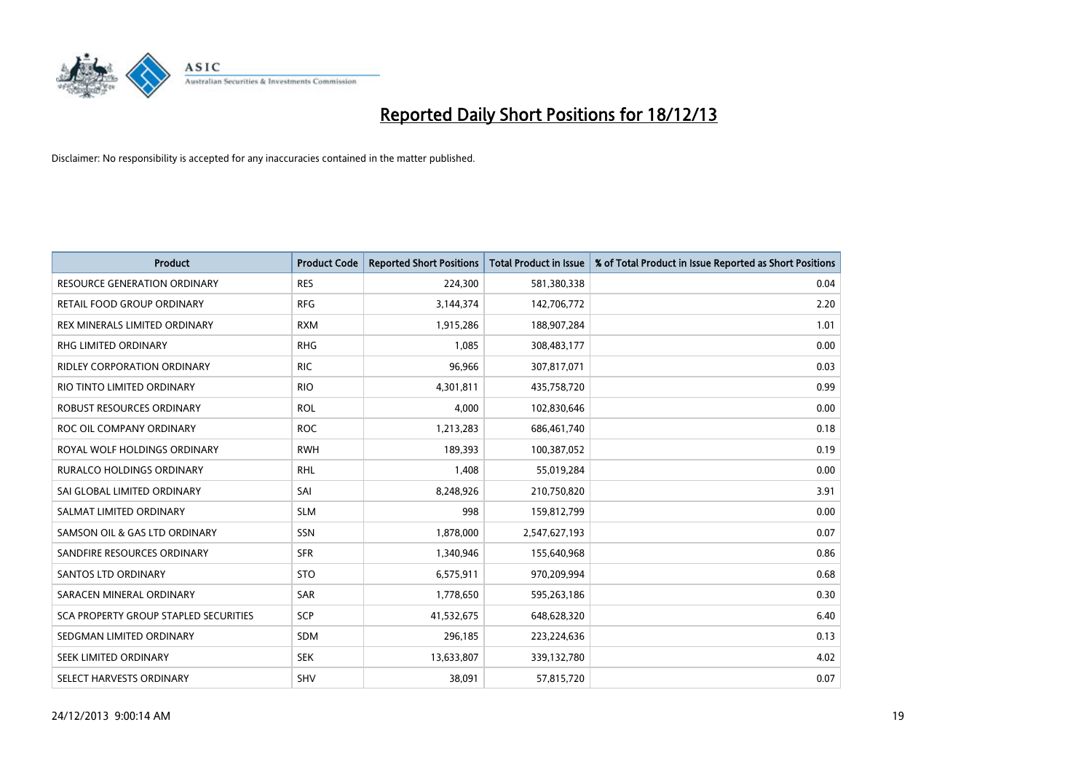

| <b>Product</b>                               | <b>Product Code</b> | <b>Reported Short Positions</b> | <b>Total Product in Issue</b> | % of Total Product in Issue Reported as Short Positions |
|----------------------------------------------|---------------------|---------------------------------|-------------------------------|---------------------------------------------------------|
| <b>RESOURCE GENERATION ORDINARY</b>          | <b>RES</b>          | 224,300                         | 581,380,338                   | 0.04                                                    |
| RETAIL FOOD GROUP ORDINARY                   | <b>RFG</b>          | 3,144,374                       | 142,706,772                   | 2.20                                                    |
| REX MINERALS LIMITED ORDINARY                | <b>RXM</b>          | 1,915,286                       | 188,907,284                   | 1.01                                                    |
| <b>RHG LIMITED ORDINARY</b>                  | <b>RHG</b>          | 1,085                           | 308,483,177                   | 0.00                                                    |
| <b>RIDLEY CORPORATION ORDINARY</b>           | <b>RIC</b>          | 96,966                          | 307,817,071                   | 0.03                                                    |
| RIO TINTO LIMITED ORDINARY                   | <b>RIO</b>          | 4,301,811                       | 435,758,720                   | 0.99                                                    |
| <b>ROBUST RESOURCES ORDINARY</b>             | <b>ROL</b>          | 4,000                           | 102,830,646                   | 0.00                                                    |
| ROC OIL COMPANY ORDINARY                     | <b>ROC</b>          | 1,213,283                       | 686,461,740                   | 0.18                                                    |
| ROYAL WOLF HOLDINGS ORDINARY                 | <b>RWH</b>          | 189,393                         | 100,387,052                   | 0.19                                                    |
| <b>RURALCO HOLDINGS ORDINARY</b>             | <b>RHL</b>          | 1,408                           | 55,019,284                    | 0.00                                                    |
| SAI GLOBAL LIMITED ORDINARY                  | SAI                 | 8,248,926                       | 210,750,820                   | 3.91                                                    |
| SALMAT LIMITED ORDINARY                      | <b>SLM</b>          | 998                             | 159,812,799                   | 0.00                                                    |
| SAMSON OIL & GAS LTD ORDINARY                | SSN                 | 1,878,000                       | 2,547,627,193                 | 0.07                                                    |
| SANDFIRE RESOURCES ORDINARY                  | <b>SFR</b>          | 1,340,946                       | 155,640,968                   | 0.86                                                    |
| SANTOS LTD ORDINARY                          | <b>STO</b>          | 6,575,911                       | 970,209,994                   | 0.68                                                    |
| SARACEN MINERAL ORDINARY                     | SAR                 | 1,778,650                       | 595,263,186                   | 0.30                                                    |
| <b>SCA PROPERTY GROUP STAPLED SECURITIES</b> | SCP                 | 41,532,675                      | 648,628,320                   | 6.40                                                    |
| SEDGMAN LIMITED ORDINARY                     | <b>SDM</b>          | 296,185                         | 223,224,636                   | 0.13                                                    |
| SEEK LIMITED ORDINARY                        | <b>SEK</b>          | 13,633,807                      | 339,132,780                   | 4.02                                                    |
| SELECT HARVESTS ORDINARY                     | <b>SHV</b>          | 38,091                          | 57,815,720                    | 0.07                                                    |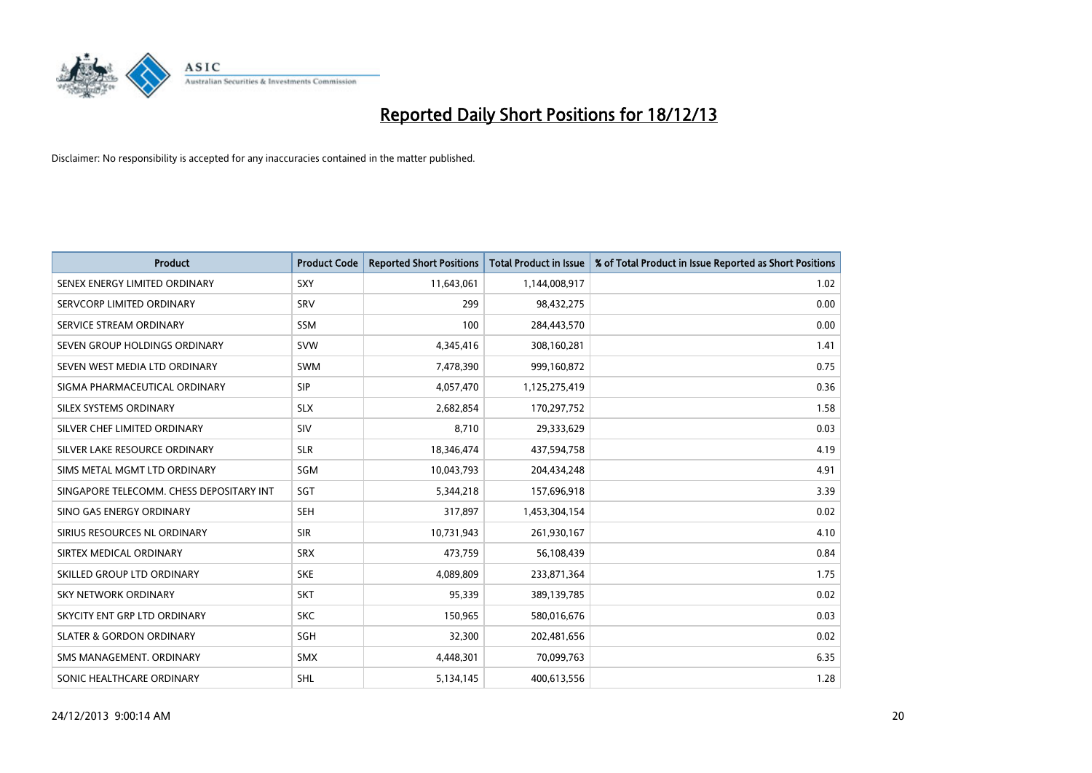

| <b>Product</b>                           | <b>Product Code</b> | <b>Reported Short Positions</b> | <b>Total Product in Issue</b> | % of Total Product in Issue Reported as Short Positions |
|------------------------------------------|---------------------|---------------------------------|-------------------------------|---------------------------------------------------------|
| SENEX ENERGY LIMITED ORDINARY            | <b>SXY</b>          | 11,643,061                      | 1,144,008,917                 | 1.02                                                    |
| SERVCORP LIMITED ORDINARY                | SRV                 | 299                             | 98,432,275                    | 0.00                                                    |
| SERVICE STREAM ORDINARY                  | <b>SSM</b>          | 100                             | 284,443,570                   | 0.00                                                    |
| SEVEN GROUP HOLDINGS ORDINARY            | <b>SVW</b>          | 4,345,416                       | 308,160,281                   | 1.41                                                    |
| SEVEN WEST MEDIA LTD ORDINARY            | <b>SWM</b>          | 7,478,390                       | 999,160,872                   | 0.75                                                    |
| SIGMA PHARMACEUTICAL ORDINARY            | <b>SIP</b>          | 4,057,470                       | 1,125,275,419                 | 0.36                                                    |
| SILEX SYSTEMS ORDINARY                   | <b>SLX</b>          | 2,682,854                       | 170,297,752                   | 1.58                                                    |
| SILVER CHEF LIMITED ORDINARY             | SIV                 | 8,710                           | 29,333,629                    | 0.03                                                    |
| SILVER LAKE RESOURCE ORDINARY            | <b>SLR</b>          | 18,346,474                      | 437,594,758                   | 4.19                                                    |
| SIMS METAL MGMT LTD ORDINARY             | SGM                 | 10,043,793                      | 204,434,248                   | 4.91                                                    |
| SINGAPORE TELECOMM. CHESS DEPOSITARY INT | SGT                 | 5,344,218                       | 157,696,918                   | 3.39                                                    |
| SINO GAS ENERGY ORDINARY                 | <b>SEH</b>          | 317,897                         | 1,453,304,154                 | 0.02                                                    |
| SIRIUS RESOURCES NL ORDINARY             | <b>SIR</b>          | 10,731,943                      | 261,930,167                   | 4.10                                                    |
| SIRTEX MEDICAL ORDINARY                  | <b>SRX</b>          | 473,759                         | 56,108,439                    | 0.84                                                    |
| SKILLED GROUP LTD ORDINARY               | <b>SKE</b>          | 4,089,809                       | 233,871,364                   | 1.75                                                    |
| SKY NETWORK ORDINARY                     | <b>SKT</b>          | 95,339                          | 389,139,785                   | 0.02                                                    |
| SKYCITY ENT GRP LTD ORDINARY             | <b>SKC</b>          | 150,965                         | 580,016,676                   | 0.03                                                    |
| <b>SLATER &amp; GORDON ORDINARY</b>      | SGH                 | 32,300                          | 202,481,656                   | 0.02                                                    |
| SMS MANAGEMENT, ORDINARY                 | <b>SMX</b>          | 4,448,301                       | 70,099,763                    | 6.35                                                    |
| SONIC HEALTHCARE ORDINARY                | <b>SHL</b>          | 5,134,145                       | 400,613,556                   | 1.28                                                    |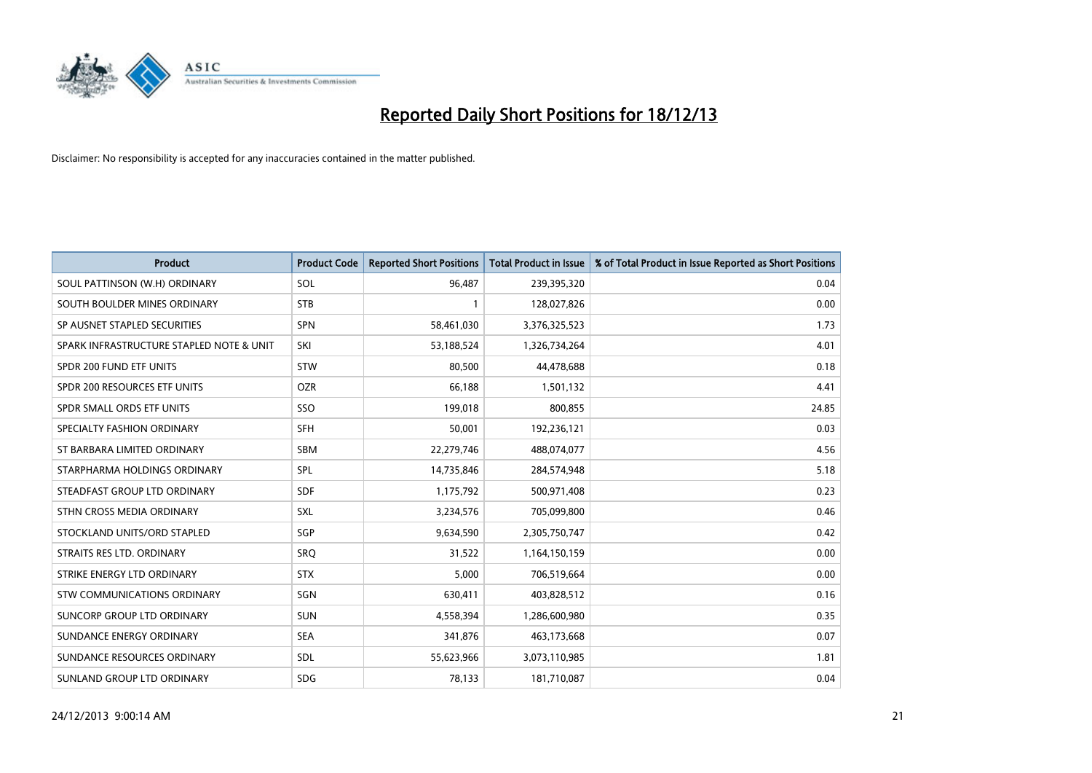

| <b>Product</b>                           | <b>Product Code</b> | <b>Reported Short Positions</b> | <b>Total Product in Issue</b> | % of Total Product in Issue Reported as Short Positions |
|------------------------------------------|---------------------|---------------------------------|-------------------------------|---------------------------------------------------------|
| SOUL PATTINSON (W.H) ORDINARY            | SOL                 | 96,487                          | 239,395,320                   | 0.04                                                    |
| SOUTH BOULDER MINES ORDINARY             | <b>STB</b>          | 1                               | 128,027,826                   | 0.00                                                    |
| SP AUSNET STAPLED SECURITIES             | <b>SPN</b>          | 58,461,030                      | 3,376,325,523                 | 1.73                                                    |
| SPARK INFRASTRUCTURE STAPLED NOTE & UNIT | SKI                 | 53,188,524                      | 1,326,734,264                 | 4.01                                                    |
| SPDR 200 FUND ETF UNITS                  | <b>STW</b>          | 80,500                          | 44,478,688                    | 0.18                                                    |
| SPDR 200 RESOURCES ETF UNITS             | <b>OZR</b>          | 66,188                          | 1,501,132                     | 4.41                                                    |
| SPDR SMALL ORDS ETF UNITS                | SSO                 | 199,018                         | 800,855                       | 24.85                                                   |
| SPECIALTY FASHION ORDINARY               | <b>SFH</b>          | 50,001                          | 192,236,121                   | 0.03                                                    |
| ST BARBARA LIMITED ORDINARY              | <b>SBM</b>          | 22,279,746                      | 488,074,077                   | 4.56                                                    |
| STARPHARMA HOLDINGS ORDINARY             | <b>SPL</b>          | 14,735,846                      | 284,574,948                   | 5.18                                                    |
| STEADFAST GROUP LTD ORDINARY             | <b>SDF</b>          | 1,175,792                       | 500,971,408                   | 0.23                                                    |
| STHN CROSS MEDIA ORDINARY                | <b>SXL</b>          | 3,234,576                       | 705,099,800                   | 0.46                                                    |
| STOCKLAND UNITS/ORD STAPLED              | <b>SGP</b>          | 9,634,590                       | 2,305,750,747                 | 0.42                                                    |
| STRAITS RES LTD. ORDINARY                | SRO                 | 31,522                          | 1,164,150,159                 | 0.00                                                    |
| STRIKE ENERGY LTD ORDINARY               | <b>STX</b>          | 5,000                           | 706,519,664                   | 0.00                                                    |
| STW COMMUNICATIONS ORDINARY              | SGN                 | 630,411                         | 403,828,512                   | 0.16                                                    |
| SUNCORP GROUP LTD ORDINARY               | <b>SUN</b>          | 4,558,394                       | 1,286,600,980                 | 0.35                                                    |
| SUNDANCE ENERGY ORDINARY                 | <b>SEA</b>          | 341,876                         | 463,173,668                   | 0.07                                                    |
| SUNDANCE RESOURCES ORDINARY              | SDL                 | 55,623,966                      | 3,073,110,985                 | 1.81                                                    |
| SUNLAND GROUP LTD ORDINARY               | <b>SDG</b>          | 78,133                          | 181,710,087                   | 0.04                                                    |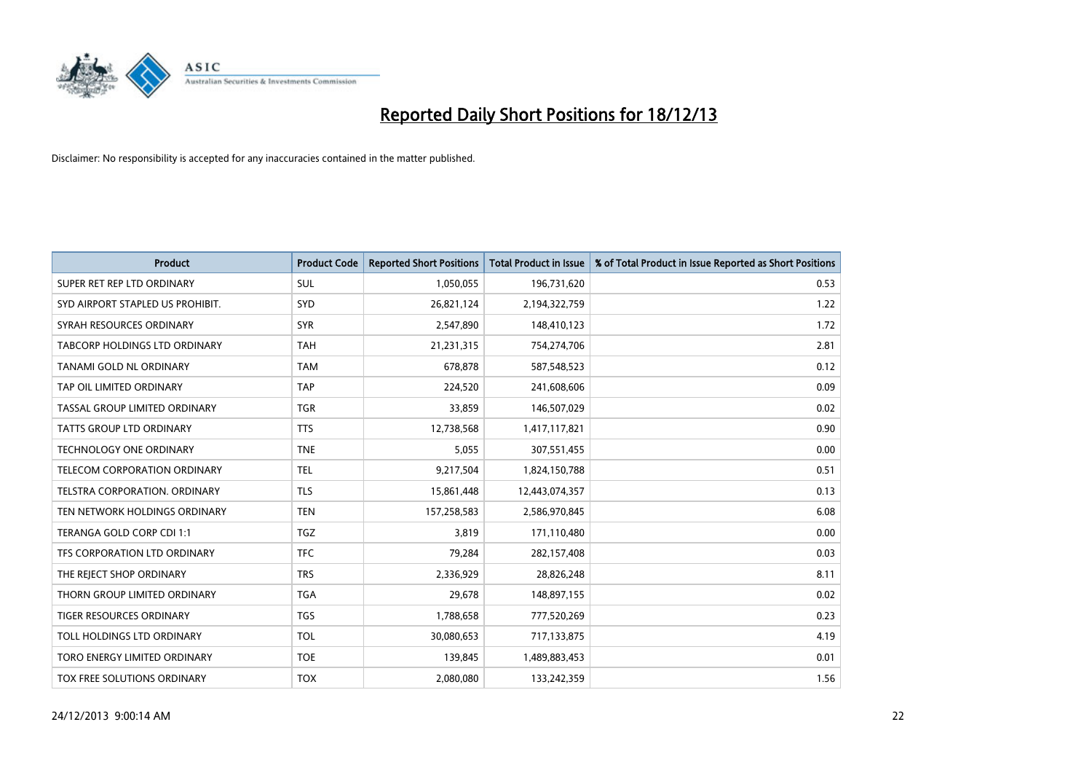

| Product                          | <b>Product Code</b> | <b>Reported Short Positions</b> | <b>Total Product in Issue</b> | % of Total Product in Issue Reported as Short Positions |
|----------------------------------|---------------------|---------------------------------|-------------------------------|---------------------------------------------------------|
| SUPER RET REP LTD ORDINARY       | SUL                 | 1,050,055                       | 196,731,620                   | 0.53                                                    |
| SYD AIRPORT STAPLED US PROHIBIT. | SYD                 | 26,821,124                      | 2,194,322,759                 | 1.22                                                    |
| SYRAH RESOURCES ORDINARY         | <b>SYR</b>          | 2,547,890                       | 148,410,123                   | 1.72                                                    |
| TABCORP HOLDINGS LTD ORDINARY    | <b>TAH</b>          | 21,231,315                      | 754,274,706                   | 2.81                                                    |
| <b>TANAMI GOLD NL ORDINARY</b>   | <b>TAM</b>          | 678,878                         | 587,548,523                   | 0.12                                                    |
| TAP OIL LIMITED ORDINARY         | <b>TAP</b>          | 224,520                         | 241,608,606                   | 0.09                                                    |
| TASSAL GROUP LIMITED ORDINARY    | <b>TGR</b>          | 33,859                          | 146,507,029                   | 0.02                                                    |
| <b>TATTS GROUP LTD ORDINARY</b>  | <b>TTS</b>          | 12,738,568                      | 1,417,117,821                 | 0.90                                                    |
| TECHNOLOGY ONE ORDINARY          | <b>TNE</b>          | 5,055                           | 307,551,455                   | 0.00                                                    |
| TELECOM CORPORATION ORDINARY     | <b>TEL</b>          | 9,217,504                       | 1,824,150,788                 | 0.51                                                    |
| TELSTRA CORPORATION, ORDINARY    | <b>TLS</b>          | 15,861,448                      | 12,443,074,357                | 0.13                                                    |
| TEN NETWORK HOLDINGS ORDINARY    | <b>TEN</b>          | 157,258,583                     | 2,586,970,845                 | 6.08                                                    |
| TERANGA GOLD CORP CDI 1:1        | <b>TGZ</b>          | 3.819                           | 171,110,480                   | 0.00                                                    |
| TFS CORPORATION LTD ORDINARY     | <b>TFC</b>          | 79,284                          | 282,157,408                   | 0.03                                                    |
| THE REJECT SHOP ORDINARY         | <b>TRS</b>          | 2,336,929                       | 28,826,248                    | 8.11                                                    |
| THORN GROUP LIMITED ORDINARY     | <b>TGA</b>          | 29,678                          | 148,897,155                   | 0.02                                                    |
| <b>TIGER RESOURCES ORDINARY</b>  | <b>TGS</b>          | 1,788,658                       | 777,520,269                   | 0.23                                                    |
| TOLL HOLDINGS LTD ORDINARY       | <b>TOL</b>          | 30,080,653                      | 717,133,875                   | 4.19                                                    |
| TORO ENERGY LIMITED ORDINARY     | <b>TOE</b>          | 139,845                         | 1,489,883,453                 | 0.01                                                    |
| TOX FREE SOLUTIONS ORDINARY      | <b>TOX</b>          | 2,080,080                       | 133,242,359                   | 1.56                                                    |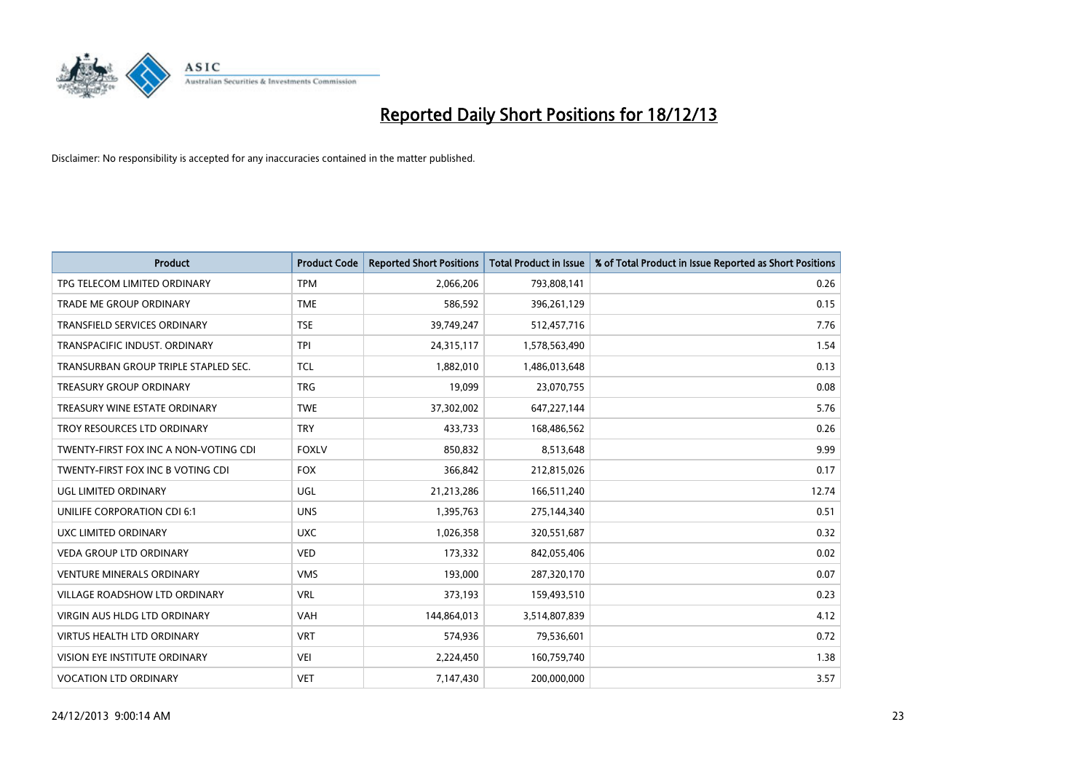

| <b>Product</b>                        | <b>Product Code</b> | <b>Reported Short Positions</b> | <b>Total Product in Issue</b> | % of Total Product in Issue Reported as Short Positions |
|---------------------------------------|---------------------|---------------------------------|-------------------------------|---------------------------------------------------------|
| TPG TELECOM LIMITED ORDINARY          | <b>TPM</b>          | 2,066,206                       | 793,808,141                   | 0.26                                                    |
| TRADE ME GROUP ORDINARY               | <b>TME</b>          | 586,592                         | 396,261,129                   | 0.15                                                    |
| <b>TRANSFIELD SERVICES ORDINARY</b>   | <b>TSE</b>          | 39,749,247                      | 512,457,716                   | 7.76                                                    |
| TRANSPACIFIC INDUST. ORDINARY         | <b>TPI</b>          | 24,315,117                      | 1,578,563,490                 | 1.54                                                    |
| TRANSURBAN GROUP TRIPLE STAPLED SEC.  | <b>TCL</b>          | 1,882,010                       | 1,486,013,648                 | 0.13                                                    |
| <b>TREASURY GROUP ORDINARY</b>        | <b>TRG</b>          | 19,099                          | 23,070,755                    | 0.08                                                    |
| TREASURY WINE ESTATE ORDINARY         | <b>TWE</b>          | 37,302,002                      | 647,227,144                   | 5.76                                                    |
| TROY RESOURCES LTD ORDINARY           | <b>TRY</b>          | 433.733                         | 168,486,562                   | 0.26                                                    |
| TWENTY-FIRST FOX INC A NON-VOTING CDI | <b>FOXLV</b>        | 850,832                         | 8,513,648                     | 9.99                                                    |
| TWENTY-FIRST FOX INC B VOTING CDI     | <b>FOX</b>          | 366,842                         | 212,815,026                   | 0.17                                                    |
| UGL LIMITED ORDINARY                  | UGL                 | 21,213,286                      | 166,511,240                   | 12.74                                                   |
| <b>UNILIFE CORPORATION CDI 6:1</b>    | <b>UNS</b>          | 1,395,763                       | 275,144,340                   | 0.51                                                    |
| UXC LIMITED ORDINARY                  | <b>UXC</b>          | 1,026,358                       | 320,551,687                   | 0.32                                                    |
| <b>VEDA GROUP LTD ORDINARY</b>        | <b>VED</b>          | 173,332                         | 842,055,406                   | 0.02                                                    |
| <b>VENTURE MINERALS ORDINARY</b>      | <b>VMS</b>          | 193,000                         | 287,320,170                   | 0.07                                                    |
| <b>VILLAGE ROADSHOW LTD ORDINARY</b>  | <b>VRL</b>          | 373,193                         | 159,493,510                   | 0.23                                                    |
| VIRGIN AUS HLDG LTD ORDINARY          | <b>VAH</b>          | 144,864,013                     | 3,514,807,839                 | 4.12                                                    |
| <b>VIRTUS HEALTH LTD ORDINARY</b>     | <b>VRT</b>          | 574,936                         | 79,536,601                    | 0.72                                                    |
| VISION EYE INSTITUTE ORDINARY         | <b>VEI</b>          | 2,224,450                       | 160,759,740                   | 1.38                                                    |
| <b>VOCATION LTD ORDINARY</b>          | <b>VET</b>          | 7,147,430                       | 200,000,000                   | 3.57                                                    |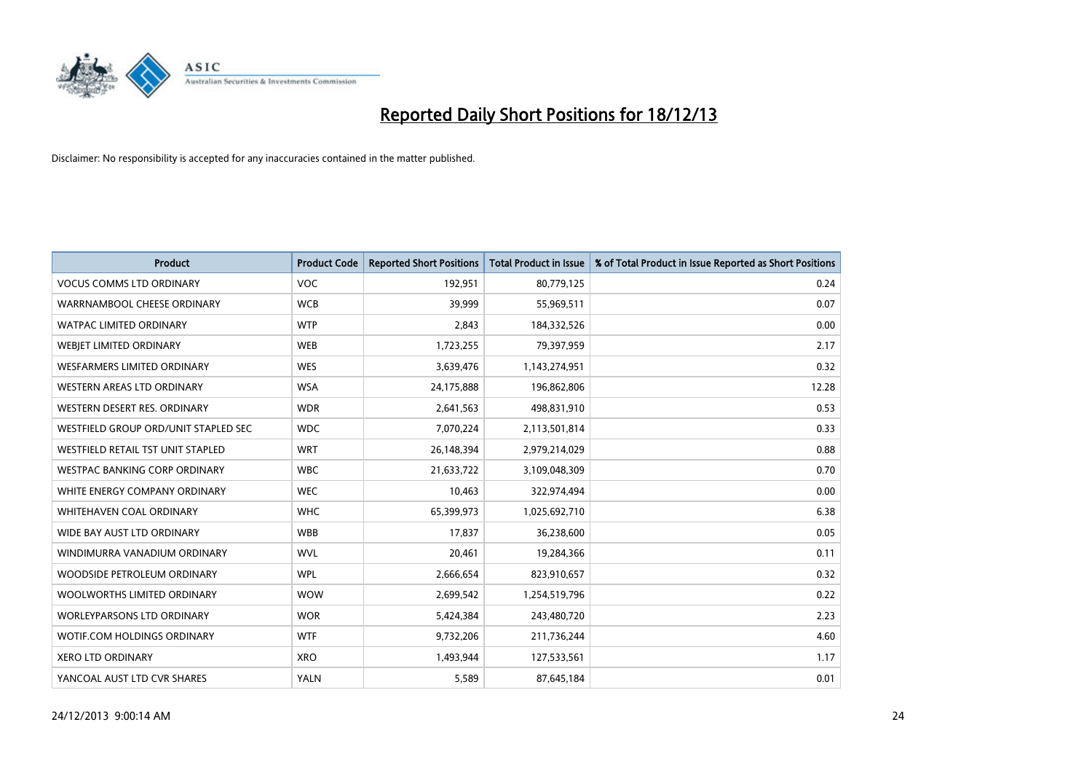

| <b>Product</b>                       | <b>Product Code</b> | <b>Reported Short Positions</b> | <b>Total Product in Issue</b> | % of Total Product in Issue Reported as Short Positions |
|--------------------------------------|---------------------|---------------------------------|-------------------------------|---------------------------------------------------------|
| <b>VOCUS COMMS LTD ORDINARY</b>      | <b>VOC</b>          | 192,951                         | 80,779,125                    | 0.24                                                    |
| WARRNAMBOOL CHEESE ORDINARY          | <b>WCB</b>          | 39,999                          | 55,969,511                    | 0.07                                                    |
| <b>WATPAC LIMITED ORDINARY</b>       | <b>WTP</b>          | 2,843                           | 184,332,526                   | 0.00                                                    |
| WEBJET LIMITED ORDINARY              | <b>WEB</b>          | 1,723,255                       | 79,397,959                    | 2.17                                                    |
| <b>WESFARMERS LIMITED ORDINARY</b>   | <b>WES</b>          | 3,639,476                       | 1,143,274,951                 | 0.32                                                    |
| <b>WESTERN AREAS LTD ORDINARY</b>    | <b>WSA</b>          | 24,175,888                      | 196,862,806                   | 12.28                                                   |
| WESTERN DESERT RES. ORDINARY         | <b>WDR</b>          | 2,641,563                       | 498,831,910                   | 0.53                                                    |
| WESTFIELD GROUP ORD/UNIT STAPLED SEC | <b>WDC</b>          | 7,070,224                       | 2,113,501,814                 | 0.33                                                    |
| WESTFIELD RETAIL TST UNIT STAPLED    | <b>WRT</b>          | 26,148,394                      | 2,979,214,029                 | 0.88                                                    |
| WESTPAC BANKING CORP ORDINARY        | <b>WBC</b>          | 21,633,722                      | 3,109,048,309                 | 0.70                                                    |
| WHITE ENERGY COMPANY ORDINARY        | <b>WEC</b>          | 10,463                          | 322,974,494                   | 0.00                                                    |
| <b>WHITEHAVEN COAL ORDINARY</b>      | <b>WHC</b>          | 65,399,973                      | 1,025,692,710                 | 6.38                                                    |
| WIDE BAY AUST LTD ORDINARY           | <b>WBB</b>          | 17,837                          | 36,238,600                    | 0.05                                                    |
| WINDIMURRA VANADIUM ORDINARY         | <b>WVL</b>          | 20,461                          | 19,284,366                    | 0.11                                                    |
| WOODSIDE PETROLEUM ORDINARY          | <b>WPL</b>          | 2,666,654                       | 823,910,657                   | 0.32                                                    |
| WOOLWORTHS LIMITED ORDINARY          | <b>WOW</b>          | 2,699,542                       | 1,254,519,796                 | 0.22                                                    |
| WORLEYPARSONS LTD ORDINARY           | <b>WOR</b>          | 5,424,384                       | 243,480,720                   | 2.23                                                    |
| WOTIF.COM HOLDINGS ORDINARY          | <b>WTF</b>          | 9,732,206                       | 211,736,244                   | 4.60                                                    |
| <b>XERO LTD ORDINARY</b>             | <b>XRO</b>          | 1,493,944                       | 127,533,561                   | 1.17                                                    |
| YANCOAL AUST LTD CVR SHARES          | <b>YALN</b>         | 5,589                           | 87,645,184                    | 0.01                                                    |